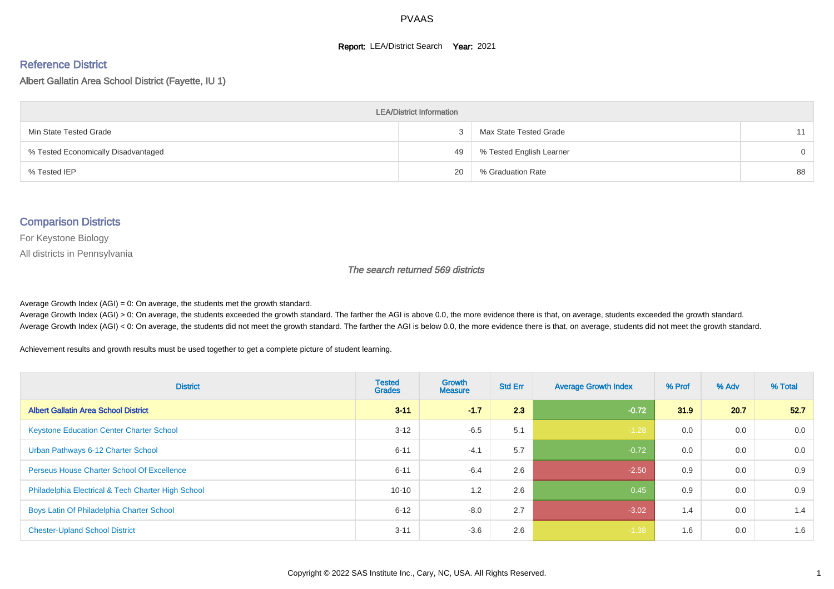#### **Report: LEA/District Search Year: 2021**

#### Reference District

Albert Gallatin Area School District (Fayette, IU 1)

| <b>LEA/District Information</b>     |    |                          |          |  |  |  |  |  |  |
|-------------------------------------|----|--------------------------|----------|--|--|--|--|--|--|
| Min State Tested Grade              |    | Max State Tested Grade   | 11       |  |  |  |  |  |  |
| % Tested Economically Disadvantaged | 49 | % Tested English Learner | $\Omega$ |  |  |  |  |  |  |
| % Tested IEP                        | 20 | % Graduation Rate        | 88       |  |  |  |  |  |  |

#### Comparison Districts

For Keystone Biology

All districts in Pennsylvania

The search returned 569 districts

Average Growth Index  $(AGI) = 0$ : On average, the students met the growth standard.

Average Growth Index (AGI) > 0: On average, the students exceeded the growth standard. The farther the AGI is above 0.0, the more evidence there is that, on average, students exceeded the growth standard. Average Growth Index (AGI) < 0: On average, the students did not meet the growth standard. The farther the AGI is below 0.0, the more evidence there is that, on average, students did not meet the growth standard.

Achievement results and growth results must be used together to get a complete picture of student learning.

| <b>District</b>                                    | <b>Tested</b><br><b>Grades</b> | <b>Growth</b><br><b>Measure</b> | <b>Std Err</b> | <b>Average Growth Index</b> | % Prof | % Adv | % Total |
|----------------------------------------------------|--------------------------------|---------------------------------|----------------|-----------------------------|--------|-------|---------|
| <b>Albert Gallatin Area School District</b>        | $3 - 11$                       | $-1.7$                          | 2.3            | $-0.72$                     | 31.9   | 20.7  | 52.7    |
| <b>Keystone Education Center Charter School</b>    | $3 - 12$                       | $-6.5$                          | 5.1            | $-1.28$                     | 0.0    | 0.0   | 0.0     |
| Urban Pathways 6-12 Charter School                 | $6 - 11$                       | $-4.1$                          | 5.7            | $-0.72$                     | 0.0    | 0.0   | 0.0     |
| <b>Perseus House Charter School Of Excellence</b>  | $6 - 11$                       | $-6.4$                          | 2.6            | $-2.50$                     | 0.9    | 0.0   | 0.9     |
| Philadelphia Electrical & Tech Charter High School | $10 - 10$                      | 1.2                             | 2.6            | 0.45                        | 0.9    | 0.0   | 0.9     |
| Boys Latin Of Philadelphia Charter School          | $6 - 12$                       | $-8.0$                          | 2.7            | $-3.02$                     | 1.4    | 0.0   | 1.4     |
| <b>Chester-Upland School District</b>              | $3 - 11$                       | $-3.6$                          | 2.6            | $-1.38$                     | 1.6    | 0.0   | 1.6     |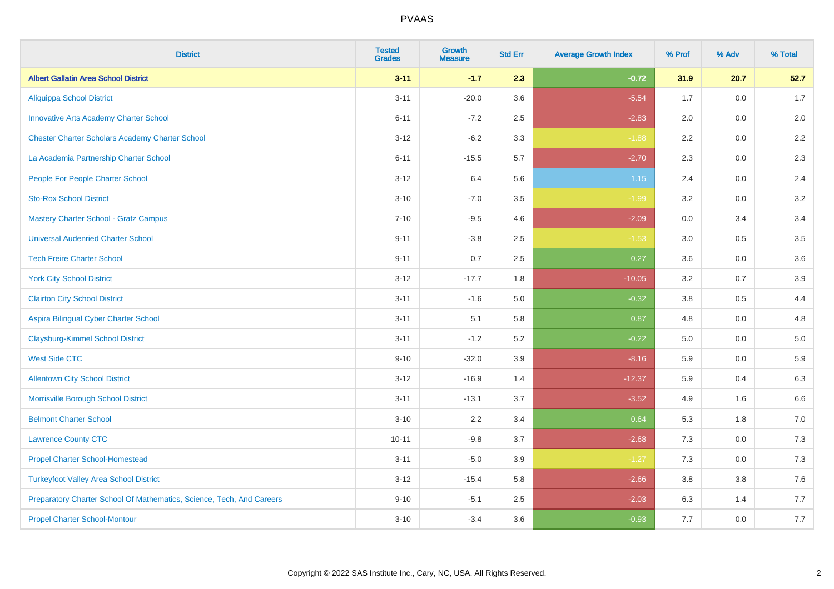| <b>District</b>                                                       | <b>Tested</b><br><b>Grades</b> | <b>Growth</b><br><b>Measure</b> | <b>Std Err</b> | <b>Average Growth Index</b> | % Prof | % Adv | % Total |
|-----------------------------------------------------------------------|--------------------------------|---------------------------------|----------------|-----------------------------|--------|-------|---------|
| <b>Albert Gallatin Area School District</b>                           | $3 - 11$                       | $-1.7$                          | 2.3            | $-0.72$                     | 31.9   | 20.7  | 52.7    |
| <b>Aliquippa School District</b>                                      | $3 - 11$                       | $-20.0$                         | 3.6            | $-5.54$                     | 1.7    | 0.0   | 1.7     |
| <b>Innovative Arts Academy Charter School</b>                         | $6 - 11$                       | $-7.2$                          | 2.5            | $-2.83$                     | 2.0    | 0.0   | 2.0     |
| <b>Chester Charter Scholars Academy Charter School</b>                | $3 - 12$                       | $-6.2$                          | 3.3            | $-1.88$                     | 2.2    | 0.0   | 2.2     |
| La Academia Partnership Charter School                                | $6 - 11$                       | $-15.5$                         | 5.7            | $-2.70$                     | 2.3    | 0.0   | $2.3\,$ |
| People For People Charter School                                      | $3 - 12$                       | 6.4                             | 5.6            | 1.15                        | 2.4    | 0.0   | 2.4     |
| <b>Sto-Rox School District</b>                                        | $3 - 10$                       | $-7.0$                          | $3.5\,$        | $-1.99$                     | 3.2    | 0.0   | $3.2\,$ |
| <b>Mastery Charter School - Gratz Campus</b>                          | $7 - 10$                       | $-9.5$                          | 4.6            | $-2.09$                     | 0.0    | 3.4   | 3.4     |
| <b>Universal Audenried Charter School</b>                             | $9 - 11$                       | $-3.8$                          | 2.5            | $-1.53$                     | 3.0    | 0.5   | 3.5     |
| <b>Tech Freire Charter School</b>                                     | $9 - 11$                       | 0.7                             | 2.5            | 0.27                        | 3.6    | 0.0   | 3.6     |
| <b>York City School District</b>                                      | $3 - 12$                       | $-17.7$                         | 1.8            | $-10.05$                    | 3.2    | 0.7   | 3.9     |
| <b>Clairton City School District</b>                                  | $3 - 11$                       | $-1.6$                          | 5.0            | $-0.32$                     | 3.8    | 0.5   | 4.4     |
| Aspira Bilingual Cyber Charter School                                 | $3 - 11$                       | 5.1                             | 5.8            | 0.87                        | 4.8    | 0.0   | 4.8     |
| <b>Claysburg-Kimmel School District</b>                               | $3 - 11$                       | $-1.2$                          | 5.2            | $-0.22$                     | 5.0    | 0.0   | $5.0\,$ |
| <b>West Side CTC</b>                                                  | $9 - 10$                       | $-32.0$                         | 3.9            | $-8.16$                     | 5.9    | 0.0   | 5.9     |
| <b>Allentown City School District</b>                                 | $3 - 12$                       | $-16.9$                         | 1.4            | $-12.37$                    | 5.9    | 0.4   | 6.3     |
| Morrisville Borough School District                                   | $3 - 11$                       | $-13.1$                         | 3.7            | $-3.52$                     | 4.9    | 1.6   | 6.6     |
| <b>Belmont Charter School</b>                                         | $3 - 10$                       | 2.2                             | 3.4            | 0.64                        | 5.3    | 1.8   | $7.0\,$ |
| <b>Lawrence County CTC</b>                                            | $10 - 11$                      | $-9.8$                          | 3.7            | $-2.68$                     | 7.3    | 0.0   | 7.3     |
| <b>Propel Charter School-Homestead</b>                                | $3 - 11$                       | $-5.0$                          | 3.9            | $-1.27$                     | 7.3    | 0.0   | $7.3$   |
| <b>Turkeyfoot Valley Area School District</b>                         | $3 - 12$                       | $-15.4$                         | 5.8            | $-2.66$                     | 3.8    | 3.8   | $7.6\,$ |
| Preparatory Charter School Of Mathematics, Science, Tech, And Careers | $9 - 10$                       | $-5.1$                          | 2.5            | $-2.03$                     | 6.3    | 1.4   | 7.7     |
| <b>Propel Charter School-Montour</b>                                  | $3 - 10$                       | $-3.4$                          | 3.6            | $-0.93$                     | 7.7    | 0.0   | $7.7$   |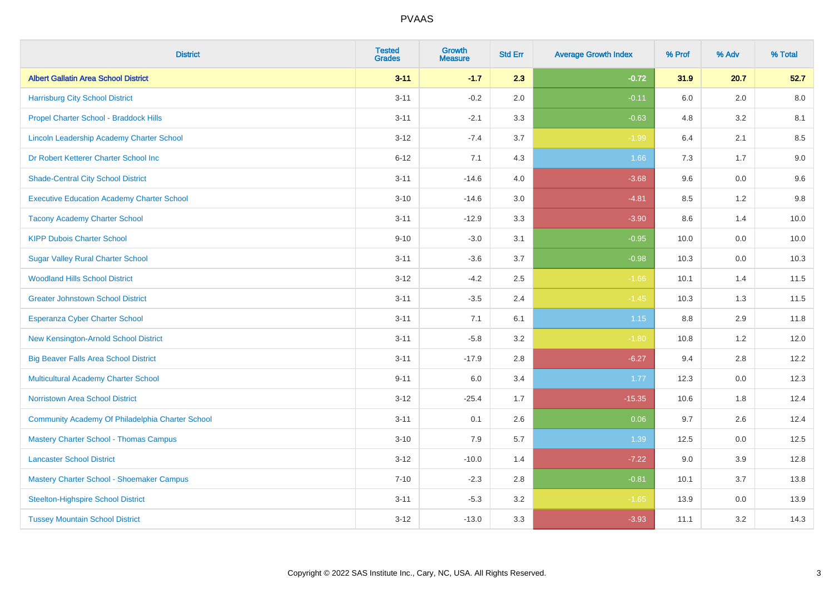| <b>District</b>                                   | <b>Tested</b><br><b>Grades</b> | <b>Growth</b><br><b>Measure</b> | <b>Std Err</b> | <b>Average Growth Index</b> | % Prof  | % Adv | % Total |
|---------------------------------------------------|--------------------------------|---------------------------------|----------------|-----------------------------|---------|-------|---------|
| <b>Albert Gallatin Area School District</b>       | $3 - 11$                       | $-1.7$                          | 2.3            | $-0.72$                     | 31.9    | 20.7  | 52.7    |
| <b>Harrisburg City School District</b>            | $3 - 11$                       | $-0.2$                          | 2.0            | $-0.11$                     | 6.0     | 2.0   | 8.0     |
| Propel Charter School - Braddock Hills            | $3 - 11$                       | $-2.1$                          | 3.3            | $-0.63$                     | 4.8     | 3.2   | 8.1     |
| Lincoln Leadership Academy Charter School         | $3 - 12$                       | $-7.4$                          | 3.7            | $-1.99$                     | 6.4     | 2.1   | 8.5     |
| Dr Robert Ketterer Charter School Inc             | $6 - 12$                       | 7.1                             | 4.3            | 1.66                        | 7.3     | 1.7   | $9.0\,$ |
| <b>Shade-Central City School District</b>         | $3 - 11$                       | $-14.6$                         | 4.0            | $-3.68$                     | 9.6     | 0.0   | 9.6     |
| <b>Executive Education Academy Charter School</b> | $3 - 10$                       | $-14.6$                         | 3.0            | $-4.81$                     | 8.5     | 1.2   | 9.8     |
| <b>Tacony Academy Charter School</b>              | $3 - 11$                       | $-12.9$                         | 3.3            | $-3.90$                     | 8.6     | 1.4   | 10.0    |
| <b>KIPP Dubois Charter School</b>                 | $9 - 10$                       | $-3.0$                          | 3.1            | $-0.95$                     | 10.0    | 0.0   | 10.0    |
| <b>Sugar Valley Rural Charter School</b>          | $3 - 11$                       | $-3.6$                          | 3.7            | $-0.98$                     | 10.3    | 0.0   | 10.3    |
| <b>Woodland Hills School District</b>             | $3 - 12$                       | $-4.2$                          | 2.5            | $-1.66$                     | 10.1    | 1.4   | 11.5    |
| <b>Greater Johnstown School District</b>          | $3 - 11$                       | $-3.5$                          | 2.4            | $-1.45$                     | 10.3    | 1.3   | 11.5    |
| Esperanza Cyber Charter School                    | $3 - 11$                       | 7.1                             | 6.1            | 1.15                        | $8.8\,$ | 2.9   | 11.8    |
| New Kensington-Arnold School District             | $3 - 11$                       | $-5.8$                          | 3.2            | $-1.80$                     | 10.8    | 1.2   | 12.0    |
| <b>Big Beaver Falls Area School District</b>      | $3 - 11$                       | $-17.9$                         | 2.8            | $-6.27$                     | 9.4     | 2.8   | 12.2    |
| <b>Multicultural Academy Charter School</b>       | $9 - 11$                       | 6.0                             | 3.4            | 1.77                        | 12.3    | 0.0   | 12.3    |
| <b>Norristown Area School District</b>            | $3 - 12$                       | $-25.4$                         | 1.7            | $-15.35$                    | 10.6    | 1.8   | 12.4    |
| Community Academy Of Philadelphia Charter School  | $3 - 11$                       | 0.1                             | 2.6            | 0.06                        | 9.7     | 2.6   | 12.4    |
| <b>Mastery Charter School - Thomas Campus</b>     | $3 - 10$                       | 7.9                             | 5.7            | 1.39                        | 12.5    | 0.0   | 12.5    |
| <b>Lancaster School District</b>                  | $3 - 12$                       | $-10.0$                         | 1.4            | $-7.22$                     | 9.0     | 3.9   | 12.8    |
| Mastery Charter School - Shoemaker Campus         | $7 - 10$                       | $-2.3$                          | 2.8            | $-0.81$                     | 10.1    | 3.7   | 13.8    |
| <b>Steelton-Highspire School District</b>         | $3 - 11$                       | $-5.3$                          | 3.2            | $-1.65$                     | 13.9    | 0.0   | 13.9    |
| <b>Tussey Mountain School District</b>            | $3 - 12$                       | $-13.0$                         | 3.3            | $-3.93$                     | 11.1    | 3.2   | 14.3    |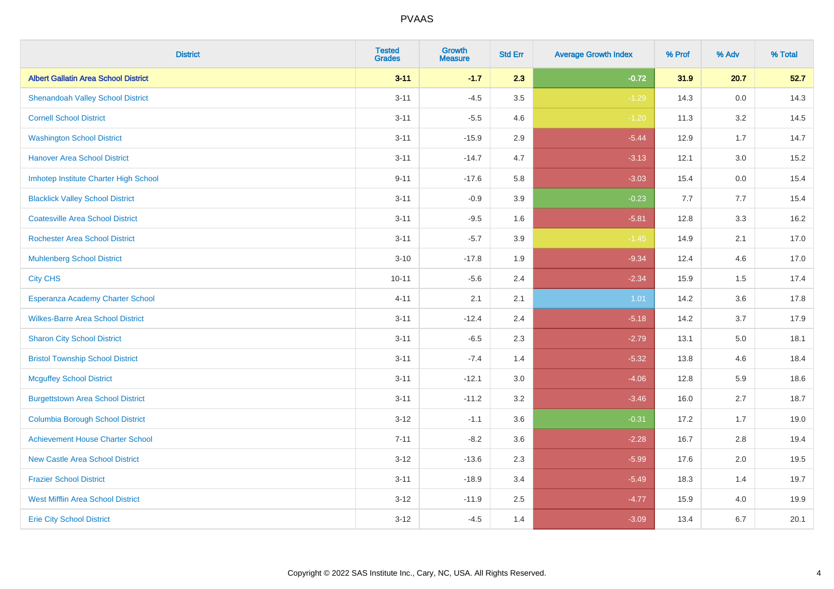| <b>District</b>                             | <b>Tested</b><br><b>Grades</b> | <b>Growth</b><br><b>Measure</b> | <b>Std Err</b> | <b>Average Growth Index</b> | % Prof | % Adv | % Total |
|---------------------------------------------|--------------------------------|---------------------------------|----------------|-----------------------------|--------|-------|---------|
| <b>Albert Gallatin Area School District</b> | $3 - 11$                       | $-1.7$                          | 2.3            | $-0.72$                     | 31.9   | 20.7  | 52.7    |
| <b>Shenandoah Valley School District</b>    | $3 - 11$                       | $-4.5$                          | 3.5            | $-1.29$                     | 14.3   | 0.0   | 14.3    |
| <b>Cornell School District</b>              | $3 - 11$                       | $-5.5$                          | 4.6            | $-1.20$                     | 11.3   | 3.2   | 14.5    |
| <b>Washington School District</b>           | $3 - 11$                       | $-15.9$                         | 2.9            | $-5.44$                     | 12.9   | 1.7   | 14.7    |
| <b>Hanover Area School District</b>         | $3 - 11$                       | $-14.7$                         | 4.7            | $-3.13$                     | 12.1   | 3.0   | 15.2    |
| Imhotep Institute Charter High School       | $9 - 11$                       | $-17.6$                         | 5.8            | $-3.03$                     | 15.4   | 0.0   | 15.4    |
| <b>Blacklick Valley School District</b>     | $3 - 11$                       | $-0.9$                          | 3.9            | $-0.23$                     | 7.7    | 7.7   | 15.4    |
| <b>Coatesville Area School District</b>     | $3 - 11$                       | $-9.5$                          | 1.6            | $-5.81$                     | 12.8   | 3.3   | 16.2    |
| <b>Rochester Area School District</b>       | $3 - 11$                       | $-5.7$                          | 3.9            | $-1.45$                     | 14.9   | 2.1   | 17.0    |
| <b>Muhlenberg School District</b>           | $3 - 10$                       | $-17.8$                         | 1.9            | $-9.34$                     | 12.4   | 4.6   | 17.0    |
| <b>City CHS</b>                             | $10 - 11$                      | $-5.6$                          | 2.4            | $-2.34$                     | 15.9   | 1.5   | 17.4    |
| Esperanza Academy Charter School            | $4 - 11$                       | 2.1                             | 2.1            | 1.01                        | 14.2   | 3.6   | 17.8    |
| <b>Wilkes-Barre Area School District</b>    | $3 - 11$                       | $-12.4$                         | 2.4            | $-5.18$                     | 14.2   | 3.7   | 17.9    |
| <b>Sharon City School District</b>          | $3 - 11$                       | $-6.5$                          | 2.3            | $-2.79$                     | 13.1   | 5.0   | 18.1    |
| <b>Bristol Township School District</b>     | $3 - 11$                       | $-7.4$                          | 1.4            | $-5.32$                     | 13.8   | 4.6   | 18.4    |
| <b>Mcguffey School District</b>             | $3 - 11$                       | $-12.1$                         | 3.0            | $-4.06$                     | 12.8   | 5.9   | 18.6    |
| <b>Burgettstown Area School District</b>    | $3 - 11$                       | $-11.2$                         | 3.2            | $-3.46$                     | 16.0   | 2.7   | 18.7    |
| <b>Columbia Borough School District</b>     | $3 - 12$                       | $-1.1$                          | 3.6            | $-0.31$                     | 17.2   | 1.7   | 19.0    |
| <b>Achievement House Charter School</b>     | $7 - 11$                       | $-8.2$                          | 3.6            | $-2.28$                     | 16.7   | 2.8   | 19.4    |
| <b>New Castle Area School District</b>      | $3 - 12$                       | $-13.6$                         | 2.3            | $-5.99$                     | 17.6   | 2.0   | 19.5    |
| <b>Frazier School District</b>              | $3 - 11$                       | $-18.9$                         | 3.4            | $-5.49$                     | 18.3   | 1.4   | 19.7    |
| <b>West Mifflin Area School District</b>    | $3 - 12$                       | $-11.9$                         | 2.5            | $-4.77$                     | 15.9   | 4.0   | 19.9    |
| <b>Erie City School District</b>            | $3 - 12$                       | $-4.5$                          | 1.4            | $-3.09$                     | 13.4   | 6.7   | 20.1    |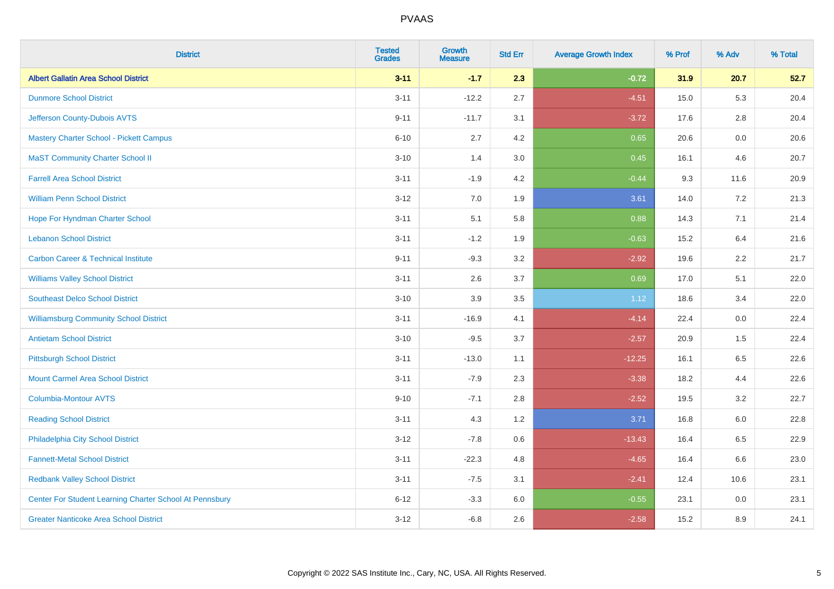| <b>District</b>                                         | <b>Tested</b><br><b>Grades</b> | <b>Growth</b><br><b>Measure</b> | <b>Std Err</b> | <b>Average Growth Index</b> | % Prof | % Adv   | % Total |
|---------------------------------------------------------|--------------------------------|---------------------------------|----------------|-----------------------------|--------|---------|---------|
| <b>Albert Gallatin Area School District</b>             | $3 - 11$                       | $-1.7$                          | 2.3            | $-0.72$                     | 31.9   | 20.7    | 52.7    |
| <b>Dunmore School District</b>                          | $3 - 11$                       | $-12.2$                         | 2.7            | $-4.51$                     | 15.0   | 5.3     | 20.4    |
| Jefferson County-Dubois AVTS                            | $9 - 11$                       | $-11.7$                         | 3.1            | $-3.72$                     | 17.6   | 2.8     | 20.4    |
| <b>Mastery Charter School - Pickett Campus</b>          | $6 - 10$                       | 2.7                             | 4.2            | 0.65                        | 20.6   | $0.0\,$ | 20.6    |
| <b>MaST Community Charter School II</b>                 | $3 - 10$                       | 1.4                             | 3.0            | 0.45                        | 16.1   | 4.6     | 20.7    |
| <b>Farrell Area School District</b>                     | $3 - 11$                       | $-1.9$                          | 4.2            | $-0.44$                     | 9.3    | 11.6    | 20.9    |
| <b>William Penn School District</b>                     | $3 - 12$                       | 7.0                             | 1.9            | 3.61                        | 14.0   | 7.2     | 21.3    |
| Hope For Hyndman Charter School                         | $3 - 11$                       | 5.1                             | 5.8            | 0.88                        | 14.3   | 7.1     | 21.4    |
| <b>Lebanon School District</b>                          | $3 - 11$                       | $-1.2$                          | 1.9            | $-0.63$                     | 15.2   | 6.4     | 21.6    |
| <b>Carbon Career &amp; Technical Institute</b>          | $9 - 11$                       | $-9.3$                          | 3.2            | $-2.92$                     | 19.6   | 2.2     | 21.7    |
| <b>Williams Valley School District</b>                  | $3 - 11$                       | 2.6                             | 3.7            | 0.69                        | 17.0   | 5.1     | 22.0    |
| <b>Southeast Delco School District</b>                  | $3 - 10$                       | 3.9                             | 3.5            | 1.12                        | 18.6   | 3.4     | 22.0    |
| <b>Williamsburg Community School District</b>           | $3 - 11$                       | $-16.9$                         | 4.1            | $-4.14$                     | 22.4   | $0.0\,$ | 22.4    |
| <b>Antietam School District</b>                         | $3 - 10$                       | $-9.5$                          | 3.7            | $-2.57$                     | 20.9   | 1.5     | 22.4    |
| <b>Pittsburgh School District</b>                       | $3 - 11$                       | $-13.0$                         | 1.1            | $-12.25$                    | 16.1   | 6.5     | 22.6    |
| <b>Mount Carmel Area School District</b>                | $3 - 11$                       | $-7.9$                          | 2.3            | $-3.38$                     | 18.2   | 4.4     | 22.6    |
| <b>Columbia-Montour AVTS</b>                            | $9 - 10$                       | $-7.1$                          | 2.8            | $-2.52$                     | 19.5   | 3.2     | 22.7    |
| <b>Reading School District</b>                          | $3 - 11$                       | 4.3                             | 1.2            | 3.71                        | 16.8   | 6.0     | 22.8    |
| Philadelphia City School District                       | $3-12$                         | $-7.8$                          | 0.6            | $-13.43$                    | 16.4   | 6.5     | 22.9    |
| <b>Fannett-Metal School District</b>                    | $3 - 11$                       | $-22.3$                         | 4.8            | $-4.65$                     | 16.4   | 6.6     | 23.0    |
| <b>Redbank Valley School District</b>                   | $3 - 11$                       | $-7.5$                          | 3.1            | $-2.41$                     | 12.4   | 10.6    | 23.1    |
| Center For Student Learning Charter School At Pennsbury | $6 - 12$                       | $-3.3$                          | 6.0            | $-0.55$                     | 23.1   | 0.0     | 23.1    |
| <b>Greater Nanticoke Area School District</b>           | $3 - 12$                       | $-6.8$                          | 2.6            | $-2.58$                     | 15.2   | 8.9     | 24.1    |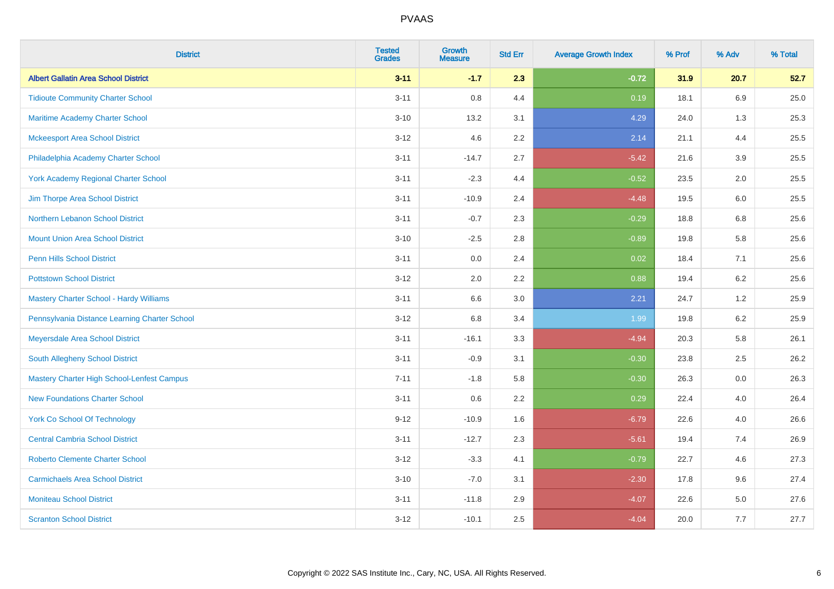| <b>District</b>                                   | <b>Tested</b><br><b>Grades</b> | <b>Growth</b><br><b>Measure</b> | <b>Std Err</b> | <b>Average Growth Index</b> | % Prof | % Adv   | % Total |
|---------------------------------------------------|--------------------------------|---------------------------------|----------------|-----------------------------|--------|---------|---------|
| <b>Albert Gallatin Area School District</b>       | $3 - 11$                       | $-1.7$                          | 2.3            | $-0.72$                     | 31.9   | 20.7    | 52.7    |
| <b>Tidioute Community Charter School</b>          | $3 - 11$                       | 0.8                             | 4.4            | 0.19                        | 18.1   | 6.9     | 25.0    |
| <b>Maritime Academy Charter School</b>            | $3 - 10$                       | 13.2                            | 3.1            | 4.29                        | 24.0   | 1.3     | 25.3    |
| <b>Mckeesport Area School District</b>            | $3 - 12$                       | 4.6                             | 2.2            | 2.14                        | 21.1   | 4.4     | 25.5    |
| Philadelphia Academy Charter School               | $3 - 11$                       | $-14.7$                         | 2.7            | $-5.42$                     | 21.6   | 3.9     | 25.5    |
| <b>York Academy Regional Charter School</b>       | $3 - 11$                       | $-2.3$                          | 4.4            | $-0.52$                     | 23.5   | 2.0     | 25.5    |
| Jim Thorpe Area School District                   | $3 - 11$                       | $-10.9$                         | 2.4            | $-4.48$                     | 19.5   | 6.0     | 25.5    |
| Northern Lebanon School District                  | $3 - 11$                       | $-0.7$                          | 2.3            | $-0.29$                     | 18.8   | 6.8     | 25.6    |
| <b>Mount Union Area School District</b>           | $3 - 10$                       | $-2.5$                          | 2.8            | $-0.89$                     | 19.8   | 5.8     | 25.6    |
| <b>Penn Hills School District</b>                 | $3 - 11$                       | 0.0                             | 2.4            | 0.02                        | 18.4   | 7.1     | 25.6    |
| <b>Pottstown School District</b>                  | $3 - 12$                       | 2.0                             | 2.2            | 0.88                        | 19.4   | 6.2     | 25.6    |
| Mastery Charter School - Hardy Williams           | $3 - 11$                       | 6.6                             | 3.0            | 2.21                        | 24.7   | 1.2     | 25.9    |
| Pennsylvania Distance Learning Charter School     | $3 - 12$                       | $6.8\,$                         | 3.4            | 1.99                        | 19.8   | $6.2\,$ | 25.9    |
| Meyersdale Area School District                   | $3 - 11$                       | $-16.1$                         | 3.3            | $-4.94$                     | 20.3   | 5.8     | 26.1    |
| South Allegheny School District                   | $3 - 11$                       | $-0.9$                          | 3.1            | $-0.30$                     | 23.8   | 2.5     | 26.2    |
| <b>Mastery Charter High School-Lenfest Campus</b> | $7 - 11$                       | $-1.8$                          | 5.8            | $-0.30$                     | 26.3   | $0.0\,$ | 26.3    |
| <b>New Foundations Charter School</b>             | $3 - 11$                       | 0.6                             | 2.2            | 0.29                        | 22.4   | 4.0     | 26.4    |
| <b>York Co School Of Technology</b>               | $9 - 12$                       | $-10.9$                         | 1.6            | $-6.79$                     | 22.6   | 4.0     | 26.6    |
| <b>Central Cambria School District</b>            | $3 - 11$                       | $-12.7$                         | 2.3            | $-5.61$                     | 19.4   | 7.4     | 26.9    |
| <b>Roberto Clemente Charter School</b>            | $3 - 12$                       | $-3.3$                          | 4.1            | $-0.79$                     | 22.7   | 4.6     | 27.3    |
| <b>Carmichaels Area School District</b>           | $3 - 10$                       | $-7.0$                          | 3.1            | $-2.30$                     | 17.8   | 9.6     | 27.4    |
| <b>Moniteau School District</b>                   | $3 - 11$                       | $-11.8$                         | 2.9            | $-4.07$                     | 22.6   | 5.0     | 27.6    |
| <b>Scranton School District</b>                   | $3 - 12$                       | $-10.1$                         | 2.5            | $-4.04$                     | 20.0   | 7.7     | 27.7    |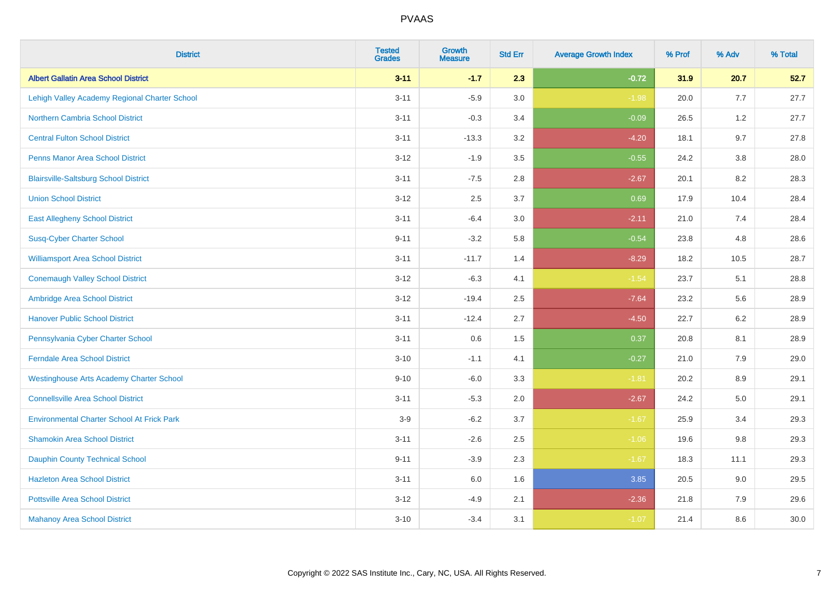| <b>District</b>                                   | <b>Tested</b><br><b>Grades</b> | <b>Growth</b><br><b>Measure</b> | <b>Std Err</b> | <b>Average Growth Index</b> | % Prof | % Adv   | % Total |
|---------------------------------------------------|--------------------------------|---------------------------------|----------------|-----------------------------|--------|---------|---------|
| <b>Albert Gallatin Area School District</b>       | $3 - 11$                       | $-1.7$                          | 2.3            | $-0.72$                     | 31.9   | 20.7    | 52.7    |
| Lehigh Valley Academy Regional Charter School     | $3 - 11$                       | $-5.9$                          | 3.0            | $-1.98$                     | 20.0   | 7.7     | 27.7    |
| <b>Northern Cambria School District</b>           | $3 - 11$                       | $-0.3$                          | 3.4            | $-0.09$                     | 26.5   | 1.2     | 27.7    |
| <b>Central Fulton School District</b>             | $3 - 11$                       | $-13.3$                         | 3.2            | $-4.20$                     | 18.1   | 9.7     | 27.8    |
| <b>Penns Manor Area School District</b>           | $3 - 12$                       | $-1.9$                          | 3.5            | $-0.55$                     | 24.2   | 3.8     | 28.0    |
| <b>Blairsville-Saltsburg School District</b>      | $3 - 11$                       | $-7.5$                          | 2.8            | $-2.67$                     | 20.1   | 8.2     | 28.3    |
| <b>Union School District</b>                      | $3 - 12$                       | 2.5                             | 3.7            | 0.69                        | 17.9   | 10.4    | 28.4    |
| <b>East Allegheny School District</b>             | $3 - 11$                       | $-6.4$                          | 3.0            | $-2.11$                     | 21.0   | 7.4     | 28.4    |
| <b>Susq-Cyber Charter School</b>                  | $9 - 11$                       | $-3.2$                          | 5.8            | $-0.54$                     | 23.8   | 4.8     | 28.6    |
| <b>Williamsport Area School District</b>          | $3 - 11$                       | $-11.7$                         | 1.4            | $-8.29$                     | 18.2   | 10.5    | 28.7    |
| <b>Conemaugh Valley School District</b>           | $3 - 12$                       | $-6.3$                          | 4.1            | $-1.54$                     | 23.7   | 5.1     | 28.8    |
| Ambridge Area School District                     | $3 - 12$                       | $-19.4$                         | 2.5            | $-7.64$                     | 23.2   | 5.6     | 28.9    |
| <b>Hanover Public School District</b>             | $3 - 11$                       | $-12.4$                         | 2.7            | $-4.50$                     | 22.7   | $6.2\,$ | 28.9    |
| Pennsylvania Cyber Charter School                 | $3 - 11$                       | 0.6                             | 1.5            | 0.37                        | 20.8   | 8.1     | 28.9    |
| <b>Ferndale Area School District</b>              | $3 - 10$                       | $-1.1$                          | 4.1            | $-0.27$                     | 21.0   | 7.9     | 29.0    |
| <b>Westinghouse Arts Academy Charter School</b>   | $9 - 10$                       | $-6.0$                          | 3.3            | $-1.81$                     | 20.2   | 8.9     | 29.1    |
| <b>Connellsville Area School District</b>         | $3 - 11$                       | $-5.3$                          | 2.0            | $-2.67$                     | 24.2   | 5.0     | 29.1    |
| <b>Environmental Charter School At Frick Park</b> | $3-9$                          | $-6.2$                          | 3.7            | $-1.67$                     | 25.9   | 3.4     | 29.3    |
| <b>Shamokin Area School District</b>              | $3 - 11$                       | $-2.6$                          | 2.5            | $-1.06$                     | 19.6   | 9.8     | 29.3    |
| <b>Dauphin County Technical School</b>            | $9 - 11$                       | $-3.9$                          | 2.3            | $-1.67$                     | 18.3   | 11.1    | 29.3    |
| <b>Hazleton Area School District</b>              | $3 - 11$                       | 6.0                             | 1.6            | 3.85                        | 20.5   | 9.0     | 29.5    |
| <b>Pottsville Area School District</b>            | $3 - 12$                       | $-4.9$                          | 2.1            | $-2.36$                     | 21.8   | 7.9     | 29.6    |
| <b>Mahanoy Area School District</b>               | $3 - 10$                       | $-3.4$                          | 3.1            | $-1.07$                     | 21.4   | 8.6     | 30.0    |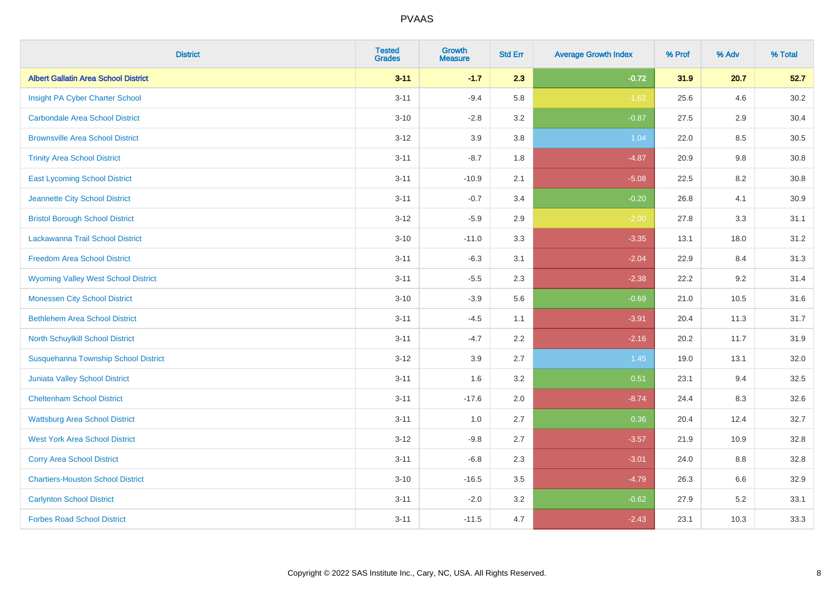| <b>District</b>                             | <b>Tested</b><br><b>Grades</b> | <b>Growth</b><br><b>Measure</b> | <b>Std Err</b> | <b>Average Growth Index</b> | % Prof | % Adv | % Total |
|---------------------------------------------|--------------------------------|---------------------------------|----------------|-----------------------------|--------|-------|---------|
| <b>Albert Gallatin Area School District</b> | $3 - 11$                       | $-1.7$                          | 2.3            | $-0.72$                     | 31.9   | 20.7  | 52.7    |
| Insight PA Cyber Charter School             | $3 - 11$                       | $-9.4$                          | 5.8            | $-1.62$                     | 25.6   | 4.6   | 30.2    |
| <b>Carbondale Area School District</b>      | $3 - 10$                       | $-2.8$                          | 3.2            | $-0.87$                     | 27.5   | 2.9   | 30.4    |
| <b>Brownsville Area School District</b>     | $3 - 12$                       | 3.9                             | 3.8            | 1.04                        | 22.0   | 8.5   | 30.5    |
| <b>Trinity Area School District</b>         | $3 - 11$                       | $-8.7$                          | 1.8            | $-4.87$                     | 20.9   | 9.8   | 30.8    |
| <b>East Lycoming School District</b>        | $3 - 11$                       | $-10.9$                         | 2.1            | $-5.08$                     | 22.5   | 8.2   | 30.8    |
| Jeannette City School District              | $3 - 11$                       | $-0.7$                          | 3.4            | $-0.20$                     | 26.8   | 4.1   | 30.9    |
| <b>Bristol Borough School District</b>      | $3 - 12$                       | $-5.9$                          | 2.9            | $-2.00$                     | 27.8   | 3.3   | 31.1    |
| Lackawanna Trail School District            | $3 - 10$                       | $-11.0$                         | 3.3            | $-3.35$                     | 13.1   | 18.0  | 31.2    |
| <b>Freedom Area School District</b>         | $3 - 11$                       | $-6.3$                          | 3.1            | $-2.04$                     | 22.9   | 8.4   | 31.3    |
| <b>Wyoming Valley West School District</b>  | $3 - 11$                       | $-5.5$                          | 2.3            | $-2.38$                     | 22.2   | 9.2   | 31.4    |
| <b>Monessen City School District</b>        | $3 - 10$                       | $-3.9$                          | 5.6            | $-0.69$                     | 21.0   | 10.5  | 31.6    |
| <b>Bethlehem Area School District</b>       | $3 - 11$                       | $-4.5$                          | 1.1            | $-3.91$                     | 20.4   | 11.3  | 31.7    |
| North Schuylkill School District            | $3 - 11$                       | $-4.7$                          | 2.2            | $-2.16$                     | 20.2   | 11.7  | 31.9    |
| Susquehanna Township School District        | $3 - 12$                       | 3.9                             | 2.7            | 1.45                        | 19.0   | 13.1  | 32.0    |
| <b>Juniata Valley School District</b>       | $3 - 11$                       | 1.6                             | 3.2            | 0.51                        | 23.1   | 9.4   | 32.5    |
| <b>Cheltenham School District</b>           | $3 - 11$                       | $-17.6$                         | 2.0            | $-8.74$                     | 24.4   | 8.3   | 32.6    |
| <b>Wattsburg Area School District</b>       | $3 - 11$                       | 1.0                             | 2.7            | 0.36                        | 20.4   | 12.4  | 32.7    |
| <b>West York Area School District</b>       | $3 - 12$                       | $-9.8$                          | 2.7            | $-3.57$                     | 21.9   | 10.9  | 32.8    |
| <b>Corry Area School District</b>           | $3 - 11$                       | $-6.8$                          | 2.3            | $-3.01$                     | 24.0   | 8.8   | 32.8    |
| <b>Chartiers-Houston School District</b>    | $3 - 10$                       | $-16.5$                         | 3.5            | $-4.79$                     | 26.3   | 6.6   | 32.9    |
| <b>Carlynton School District</b>            | $3 - 11$                       | $-2.0$                          | 3.2            | $-0.62$                     | 27.9   | 5.2   | 33.1    |
| <b>Forbes Road School District</b>          | $3 - 11$                       | $-11.5$                         | 4.7            | $-2.43$                     | 23.1   | 10.3  | 33.3    |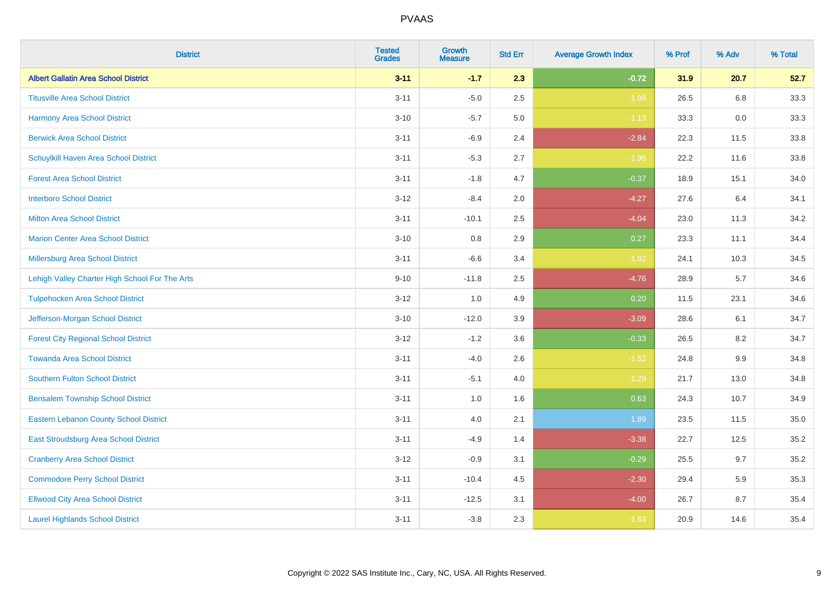| <b>District</b>                                | <b>Tested</b><br><b>Grades</b> | <b>Growth</b><br><b>Measure</b> | <b>Std Err</b> | <b>Average Growth Index</b> | % Prof | % Adv   | % Total |
|------------------------------------------------|--------------------------------|---------------------------------|----------------|-----------------------------|--------|---------|---------|
| <b>Albert Gallatin Area School District</b>    | $3 - 11$                       | $-1.7$                          | 2.3            | $-0.72$                     | 31.9   | 20.7    | 52.7    |
| <b>Titusville Area School District</b>         | $3 - 11$                       | $-5.0$                          | 2.5            | $-1.98$                     | 26.5   | 6.8     | 33.3    |
| <b>Harmony Area School District</b>            | $3 - 10$                       | $-5.7$                          | 5.0            | $-1.13$                     | 33.3   | 0.0     | 33.3    |
| <b>Berwick Area School District</b>            | $3 - 11$                       | $-6.9$                          | 2.4            | $-2.84$                     | 22.3   | 11.5    | 33.8    |
| Schuylkill Haven Area School District          | $3 - 11$                       | $-5.3$                          | 2.7            | $-1.96$                     | 22.2   | 11.6    | 33.8    |
| <b>Forest Area School District</b>             | $3 - 11$                       | $-1.8$                          | 4.7            | $-0.37$                     | 18.9   | 15.1    | 34.0    |
| <b>Interboro School District</b>               | $3 - 12$                       | $-8.4$                          | 2.0            | $-4.27$                     | 27.6   | 6.4     | 34.1    |
| <b>Milton Area School District</b>             | $3 - 11$                       | $-10.1$                         | 2.5            | $-4.04$                     | 23.0   | 11.3    | 34.2    |
| <b>Marion Center Area School District</b>      | $3 - 10$                       | 0.8                             | 2.9            | 0.27                        | 23.3   | 11.1    | 34.4    |
| Millersburg Area School District               | $3 - 11$                       | $-6.6$                          | 3.4            | $-1.92$                     | 24.1   | 10.3    | 34.5    |
| Lehigh Valley Charter High School For The Arts | $9 - 10$                       | $-11.8$                         | 2.5            | $-4.76$                     | 28.9   | 5.7     | 34.6    |
| <b>Tulpehocken Area School District</b>        | $3 - 12$                       | 1.0                             | 4.9            | 0.20                        | 11.5   | 23.1    | 34.6    |
| Jefferson-Morgan School District               | $3 - 10$                       | $-12.0$                         | 3.9            | $-3.09$                     | 28.6   | 6.1     | 34.7    |
| <b>Forest City Regional School District</b>    | $3 - 12$                       | $-1.2$                          | 3.6            | $-0.33$                     | 26.5   | 8.2     | 34.7    |
| <b>Towanda Area School District</b>            | $3 - 11$                       | $-4.0$                          | 2.6            | $-1.52$                     | 24.8   | $9.9\,$ | 34.8    |
| Southern Fulton School District                | $3 - 11$                       | $-5.1$                          | 4.0            | $-1.29$                     | 21.7   | 13.0    | 34.8    |
| <b>Bensalem Township School District</b>       | $3 - 11$                       | 1.0                             | 1.6            | 0.63                        | 24.3   | 10.7    | 34.9    |
| <b>Eastern Lebanon County School District</b>  | $3 - 11$                       | 4.0                             | 2.1            | 1.89                        | 23.5   | 11.5    | 35.0    |
| East Stroudsburg Area School District          | $3 - 11$                       | $-4.9$                          | 1.4            | $-3.38$                     | 22.7   | 12.5    | 35.2    |
| <b>Cranberry Area School District</b>          | $3 - 12$                       | $-0.9$                          | 3.1            | $-0.29$                     | 25.5   | 9.7     | 35.2    |
| <b>Commodore Perry School District</b>         | $3 - 11$                       | $-10.4$                         | 4.5            | $-2.30$                     | 29.4   | 5.9     | 35.3    |
| <b>Ellwood City Area School District</b>       | $3 - 11$                       | $-12.5$                         | 3.1            | $-4.00$                     | 26.7   | 8.7     | 35.4    |
| <b>Laurel Highlands School District</b>        | $3 - 11$                       | $-3.8$                          | 2.3            | $-1.63$                     | 20.9   | 14.6    | 35.4    |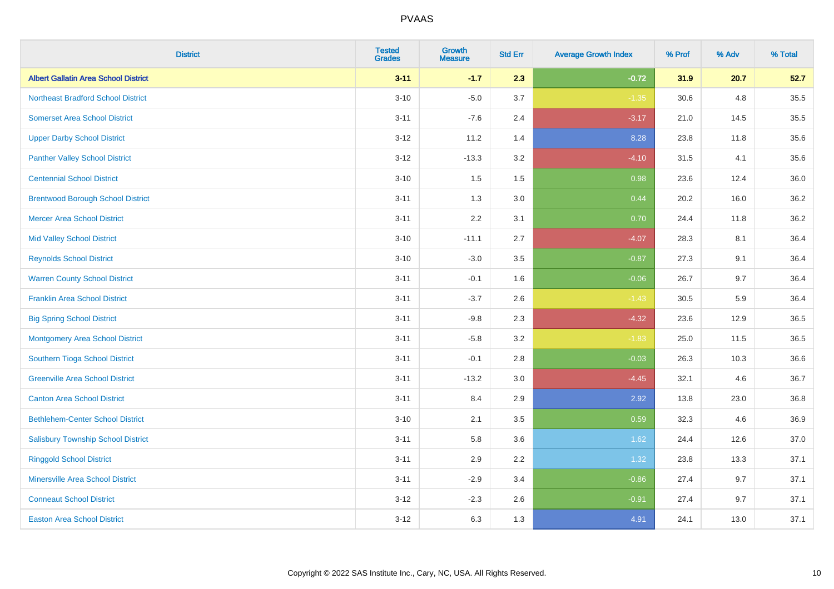| <b>District</b>                             | <b>Tested</b><br><b>Grades</b> | <b>Growth</b><br><b>Measure</b> | <b>Std Err</b> | <b>Average Growth Index</b> | % Prof | % Adv | % Total |
|---------------------------------------------|--------------------------------|---------------------------------|----------------|-----------------------------|--------|-------|---------|
| <b>Albert Gallatin Area School District</b> | $3 - 11$                       | $-1.7$                          | 2.3            | $-0.72$                     | 31.9   | 20.7  | 52.7    |
| <b>Northeast Bradford School District</b>   | $3 - 10$                       | $-5.0$                          | 3.7            | $-1.35$                     | 30.6   | 4.8   | 35.5    |
| <b>Somerset Area School District</b>        | $3 - 11$                       | $-7.6$                          | 2.4            | $-3.17$                     | 21.0   | 14.5  | 35.5    |
| <b>Upper Darby School District</b>          | $3 - 12$                       | 11.2                            | 1.4            | 8.28                        | 23.8   | 11.8  | 35.6    |
| <b>Panther Valley School District</b>       | $3-12$                         | $-13.3$                         | 3.2            | $-4.10$                     | 31.5   | 4.1   | 35.6    |
| <b>Centennial School District</b>           | $3 - 10$                       | 1.5                             | 1.5            | 0.98                        | 23.6   | 12.4  | 36.0    |
| <b>Brentwood Borough School District</b>    | $3 - 11$                       | 1.3                             | 3.0            | 0.44                        | 20.2   | 16.0  | 36.2    |
| <b>Mercer Area School District</b>          | $3 - 11$                       | 2.2                             | 3.1            | 0.70                        | 24.4   | 11.8  | 36.2    |
| <b>Mid Valley School District</b>           | $3 - 10$                       | $-11.1$                         | 2.7            | $-4.07$                     | 28.3   | 8.1   | 36.4    |
| <b>Reynolds School District</b>             | $3 - 10$                       | $-3.0$                          | 3.5            | $-0.87$                     | 27.3   | 9.1   | 36.4    |
| <b>Warren County School District</b>        | $3 - 11$                       | $-0.1$                          | 1.6            | $-0.06$                     | 26.7   | 9.7   | 36.4    |
| <b>Franklin Area School District</b>        | $3 - 11$                       | $-3.7$                          | 2.6            | $-1.43$                     | 30.5   | 5.9   | 36.4    |
| <b>Big Spring School District</b>           | $3 - 11$                       | $-9.8$                          | 2.3            | $-4.32$                     | 23.6   | 12.9  | 36.5    |
| <b>Montgomery Area School District</b>      | $3 - 11$                       | $-5.8$                          | 3.2            | $-1.83$                     | 25.0   | 11.5  | 36.5    |
| Southern Tioga School District              | $3 - 11$                       | $-0.1$                          | 2.8            | $-0.03$                     | 26.3   | 10.3  | 36.6    |
| <b>Greenville Area School District</b>      | $3 - 11$                       | $-13.2$                         | 3.0            | $-4.45$                     | 32.1   | 4.6   | 36.7    |
| <b>Canton Area School District</b>          | $3 - 11$                       | 8.4                             | 2.9            | 2.92                        | 13.8   | 23.0  | 36.8    |
| <b>Bethlehem-Center School District</b>     | $3 - 10$                       | 2.1                             | 3.5            | 0.59                        | 32.3   | 4.6   | 36.9    |
| <b>Salisbury Township School District</b>   | $3 - 11$                       | 5.8                             | 3.6            | 1.62                        | 24.4   | 12.6  | 37.0    |
| <b>Ringgold School District</b>             | $3 - 11$                       | 2.9                             | 2.2            | 1.32                        | 23.8   | 13.3  | 37.1    |
| <b>Minersville Area School District</b>     | $3 - 11$                       | $-2.9$                          | 3.4            | $-0.86$                     | 27.4   | 9.7   | 37.1    |
| <b>Conneaut School District</b>             | $3-12$                         | $-2.3$                          | 2.6            | $-0.91$                     | 27.4   | 9.7   | 37.1    |
| <b>Easton Area School District</b>          | $3 - 12$                       | 6.3                             | 1.3            | 4.91                        | 24.1   | 13.0  | 37.1    |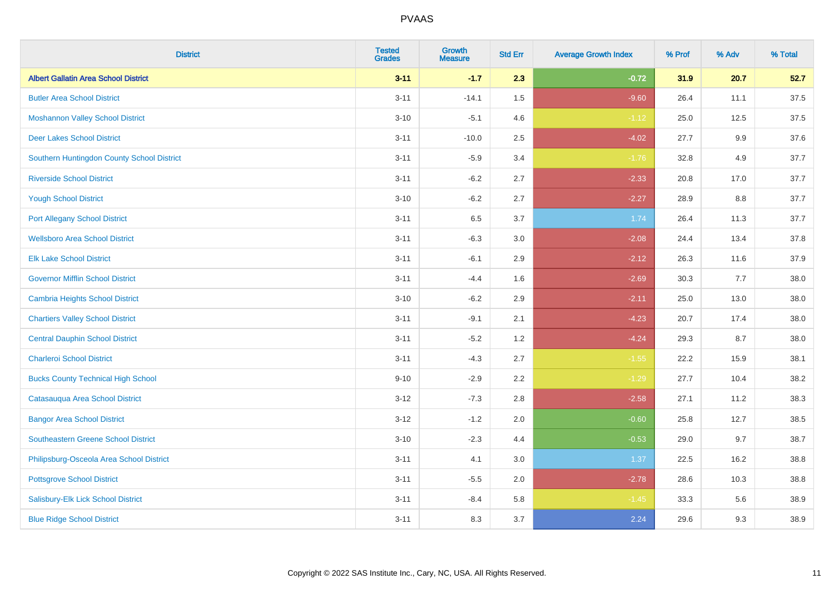| <b>District</b>                             | <b>Tested</b><br><b>Grades</b> | <b>Growth</b><br><b>Measure</b> | <b>Std Err</b> | <b>Average Growth Index</b> | % Prof | % Adv   | % Total |
|---------------------------------------------|--------------------------------|---------------------------------|----------------|-----------------------------|--------|---------|---------|
| <b>Albert Gallatin Area School District</b> | $3 - 11$                       | $-1.7$                          | 2.3            | $-0.72$                     | 31.9   | 20.7    | 52.7    |
| <b>Butler Area School District</b>          | $3 - 11$                       | $-14.1$                         | $1.5$          | $-9.60$                     | 26.4   | 11.1    | 37.5    |
| <b>Moshannon Valley School District</b>     | $3 - 10$                       | $-5.1$                          | 4.6            | $-1.12$                     | 25.0   | 12.5    | 37.5    |
| <b>Deer Lakes School District</b>           | $3 - 11$                       | $-10.0$                         | 2.5            | $-4.02$                     | 27.7   | $9.9\,$ | 37.6    |
| Southern Huntingdon County School District  | $3 - 11$                       | $-5.9$                          | 3.4            | $-1.76$                     | 32.8   | 4.9     | 37.7    |
| <b>Riverside School District</b>            | $3 - 11$                       | $-6.2$                          | 2.7            | $-2.33$                     | 20.8   | 17.0    | 37.7    |
| <b>Yough School District</b>                | $3 - 10$                       | $-6.2$                          | 2.7            | $-2.27$                     | 28.9   | 8.8     | 37.7    |
| <b>Port Allegany School District</b>        | $3 - 11$                       | 6.5                             | 3.7            | 1.74                        | 26.4   | 11.3    | 37.7    |
| <b>Wellsboro Area School District</b>       | $3 - 11$                       | $-6.3$                          | 3.0            | $-2.08$                     | 24.4   | 13.4    | 37.8    |
| <b>Elk Lake School District</b>             | $3 - 11$                       | $-6.1$                          | 2.9            | $-2.12$                     | 26.3   | 11.6    | 37.9    |
| <b>Governor Mifflin School District</b>     | $3 - 11$                       | $-4.4$                          | 1.6            | $-2.69$                     | 30.3   | 7.7     | 38.0    |
| <b>Cambria Heights School District</b>      | $3 - 10$                       | $-6.2$                          | 2.9            | $-2.11$                     | 25.0   | 13.0    | 38.0    |
| <b>Chartiers Valley School District</b>     | $3 - 11$                       | $-9.1$                          | 2.1            | $-4.23$                     | 20.7   | 17.4    | 38.0    |
| <b>Central Dauphin School District</b>      | $3 - 11$                       | $-5.2$                          | 1.2            | $-4.24$                     | 29.3   | 8.7     | 38.0    |
| <b>Charleroi School District</b>            | $3 - 11$                       | $-4.3$                          | 2.7            | $-1.55$                     | 22.2   | 15.9    | 38.1    |
| <b>Bucks County Technical High School</b>   | $9 - 10$                       | $-2.9$                          | 2.2            | $-1.29$                     | 27.7   | 10.4    | 38.2    |
| Catasauqua Area School District             | $3 - 12$                       | $-7.3$                          | 2.8            | $-2.58$                     | 27.1   | 11.2    | 38.3    |
| <b>Bangor Area School District</b>          | $3 - 12$                       | $-1.2$                          | 2.0            | $-0.60$                     | 25.8   | 12.7    | 38.5    |
| Southeastern Greene School District         | $3 - 10$                       | $-2.3$                          | 4.4            | $-0.53$                     | 29.0   | 9.7     | 38.7    |
| Philipsburg-Osceola Area School District    | $3 - 11$                       | 4.1                             | 3.0            | 1.37                        | 22.5   | 16.2    | 38.8    |
| <b>Pottsgrove School District</b>           | $3 - 11$                       | $-5.5$                          | 2.0            | $-2.78$                     | 28.6   | 10.3    | 38.8    |
| Salisbury-Elk Lick School District          | $3 - 11$                       | $-8.4$                          | 5.8            | $-1.45$                     | 33.3   | 5.6     | 38.9    |
| <b>Blue Ridge School District</b>           | $3 - 11$                       | 8.3                             | 3.7            | 2.24                        | 29.6   | 9.3     | 38.9    |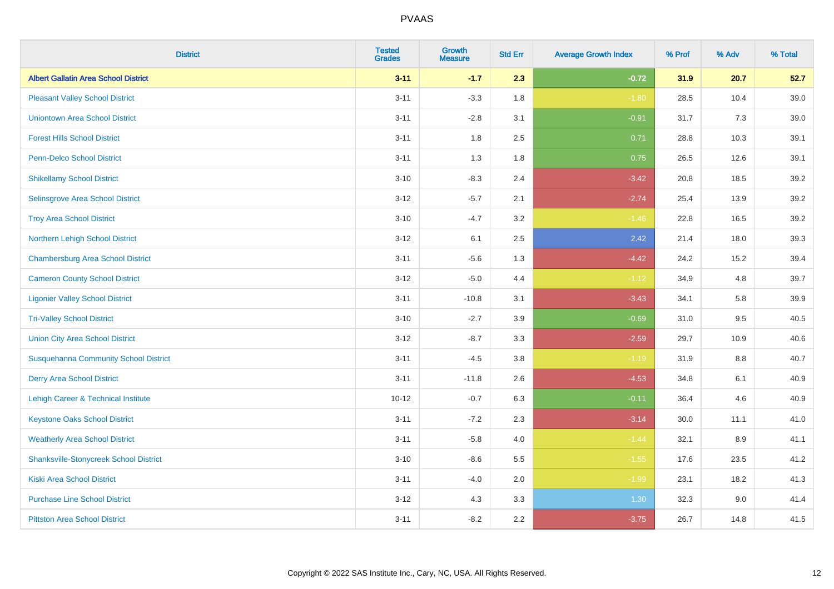| <b>District</b>                               | <b>Tested</b><br><b>Grades</b> | <b>Growth</b><br><b>Measure</b> | <b>Std Err</b> | <b>Average Growth Index</b> | % Prof | % Adv   | % Total |
|-----------------------------------------------|--------------------------------|---------------------------------|----------------|-----------------------------|--------|---------|---------|
| <b>Albert Gallatin Area School District</b>   | $3 - 11$                       | $-1.7$                          | 2.3            | $-0.72$                     | 31.9   | 20.7    | 52.7    |
| <b>Pleasant Valley School District</b>        | $3 - 11$                       | $-3.3$                          | 1.8            | $-1.80$                     | 28.5   | 10.4    | 39.0    |
| <b>Uniontown Area School District</b>         | $3 - 11$                       | $-2.8$                          | 3.1            | $-0.91$                     | 31.7   | 7.3     | 39.0    |
| <b>Forest Hills School District</b>           | $3 - 11$                       | 1.8                             | 2.5            | 0.71                        | 28.8   | 10.3    | 39.1    |
| <b>Penn-Delco School District</b>             | $3 - 11$                       | 1.3                             | 1.8            | 0.75                        | 26.5   | 12.6    | 39.1    |
| <b>Shikellamy School District</b>             | $3 - 10$                       | $-8.3$                          | 2.4            | $-3.42$                     | 20.8   | 18.5    | 39.2    |
| Selinsgrove Area School District              | $3 - 12$                       | $-5.7$                          | 2.1            | $-2.74$                     | 25.4   | 13.9    | 39.2    |
| <b>Troy Area School District</b>              | $3 - 10$                       | $-4.7$                          | 3.2            | $-1.46$                     | 22.8   | 16.5    | 39.2    |
| Northern Lehigh School District               | $3 - 12$                       | 6.1                             | 2.5            | 2.42                        | 21.4   | 18.0    | 39.3    |
| <b>Chambersburg Area School District</b>      | $3 - 11$                       | $-5.6$                          | 1.3            | $-4.42$                     | 24.2   | 15.2    | 39.4    |
| <b>Cameron County School District</b>         | $3 - 12$                       | $-5.0$                          | 4.4            | $-1.12$                     | 34.9   | 4.8     | 39.7    |
| <b>Ligonier Valley School District</b>        | $3 - 11$                       | $-10.8$                         | 3.1            | $-3.43$                     | 34.1   | 5.8     | 39.9    |
| <b>Tri-Valley School District</b>             | $3 - 10$                       | $-2.7$                          | 3.9            | $-0.69$                     | 31.0   | 9.5     | 40.5    |
| <b>Union City Area School District</b>        | $3 - 12$                       | $-8.7$                          | 3.3            | $-2.59$                     | 29.7   | 10.9    | 40.6    |
| <b>Susquehanna Community School District</b>  | $3 - 11$                       | $-4.5$                          | 3.8            | $-1.19$                     | 31.9   | 8.8     | 40.7    |
| <b>Derry Area School District</b>             | $3 - 11$                       | $-11.8$                         | 2.6            | $-4.53$                     | 34.8   | 6.1     | 40.9    |
| Lehigh Career & Technical Institute           | $10 - 12$                      | $-0.7$                          | 6.3            | $-0.11$                     | 36.4   | 4.6     | 40.9    |
| <b>Keystone Oaks School District</b>          | $3 - 11$                       | $-7.2$                          | 2.3            | $-3.14$                     | 30.0   | 11.1    | 41.0    |
| <b>Weatherly Area School District</b>         | $3 - 11$                       | $-5.8$                          | 4.0            | $-1.44$                     | 32.1   | $8.9\,$ | 41.1    |
| <b>Shanksville-Stonycreek School District</b> | $3 - 10$                       | $-8.6$                          | 5.5            | $-1.55$                     | 17.6   | 23.5    | 41.2    |
| <b>Kiski Area School District</b>             | $3 - 11$                       | $-4.0$                          | 2.0            | $-1.99$                     | 23.1   | 18.2    | 41.3    |
| <b>Purchase Line School District</b>          | $3 - 12$                       | 4.3                             | 3.3            | 1.30                        | 32.3   | 9.0     | 41.4    |
| <b>Pittston Area School District</b>          | $3 - 11$                       | $-8.2$                          | 2.2            | $-3.75$                     | 26.7   | 14.8    | 41.5    |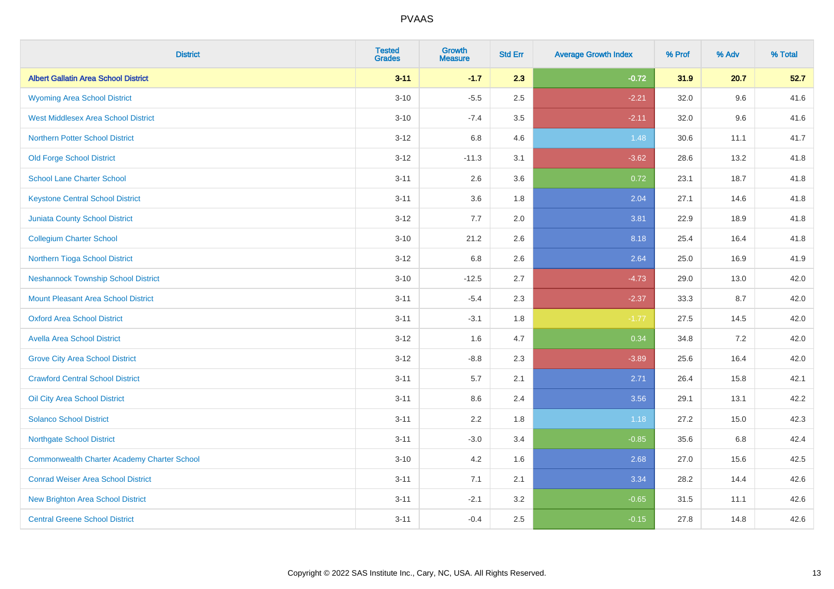| <b>District</b>                                    | <b>Tested</b><br><b>Grades</b> | <b>Growth</b><br><b>Measure</b> | <b>Std Err</b> | <b>Average Growth Index</b> | % Prof | % Adv | % Total |
|----------------------------------------------------|--------------------------------|---------------------------------|----------------|-----------------------------|--------|-------|---------|
| <b>Albert Gallatin Area School District</b>        | $3 - 11$                       | $-1.7$                          | 2.3            | $-0.72$                     | 31.9   | 20.7  | 52.7    |
| <b>Wyoming Area School District</b>                | $3 - 10$                       | $-5.5$                          | 2.5            | $-2.21$                     | 32.0   | 9.6   | 41.6    |
| <b>West Middlesex Area School District</b>         | $3 - 10$                       | $-7.4$                          | 3.5            | $-2.11$                     | 32.0   | 9.6   | 41.6    |
| <b>Northern Potter School District</b>             | $3 - 12$                       | 6.8                             | 4.6            | 1.48                        | 30.6   | 11.1  | 41.7    |
| <b>Old Forge School District</b>                   | $3 - 12$                       | $-11.3$                         | 3.1            | $-3.62$                     | 28.6   | 13.2  | 41.8    |
| <b>School Lane Charter School</b>                  | $3 - 11$                       | 2.6                             | 3.6            | 0.72                        | 23.1   | 18.7  | 41.8    |
| <b>Keystone Central School District</b>            | $3 - 11$                       | 3.6                             | 1.8            | 2.04                        | 27.1   | 14.6  | 41.8    |
| <b>Juniata County School District</b>              | $3 - 12$                       | 7.7                             | 2.0            | 3.81                        | 22.9   | 18.9  | 41.8    |
| <b>Collegium Charter School</b>                    | $3 - 10$                       | 21.2                            | 2.6            | 8.18                        | 25.4   | 16.4  | 41.8    |
| Northern Tioga School District                     | $3 - 12$                       | 6.8                             | 2.6            | 2.64                        | 25.0   | 16.9  | 41.9    |
| <b>Neshannock Township School District</b>         | $3 - 10$                       | $-12.5$                         | 2.7            | $-4.73$                     | 29.0   | 13.0  | 42.0    |
| Mount Pleasant Area School District                | $3 - 11$                       | $-5.4$                          | 2.3            | $-2.37$                     | 33.3   | 8.7   | 42.0    |
| <b>Oxford Area School District</b>                 | $3 - 11$                       | $-3.1$                          | 1.8            | $-1.77$                     | 27.5   | 14.5  | 42.0    |
| <b>Avella Area School District</b>                 | $3 - 12$                       | 1.6                             | 4.7            | 0.34                        | 34.8   | 7.2   | 42.0    |
| <b>Grove City Area School District</b>             | $3 - 12$                       | $-8.8$                          | 2.3            | $-3.89$                     | 25.6   | 16.4  | 42.0    |
| <b>Crawford Central School District</b>            | $3 - 11$                       | 5.7                             | 2.1            | 2.71                        | 26.4   | 15.8  | 42.1    |
| <b>Oil City Area School District</b>               | $3 - 11$                       | 8.6                             | 2.4            | 3.56                        | 29.1   | 13.1  | 42.2    |
| <b>Solanco School District</b>                     | $3 - 11$                       | 2.2                             | 1.8            | 1.18                        | 27.2   | 15.0  | 42.3    |
| <b>Northgate School District</b>                   | $3 - 11$                       | $-3.0$                          | 3.4            | $-0.85$                     | 35.6   | 6.8   | 42.4    |
| <b>Commonwealth Charter Academy Charter School</b> | $3 - 10$                       | 4.2                             | 1.6            | 2.68                        | 27.0   | 15.6  | 42.5    |
| <b>Conrad Weiser Area School District</b>          | $3 - 11$                       | 7.1                             | 2.1            | 3.34                        | 28.2   | 14.4  | 42.6    |
| <b>New Brighton Area School District</b>           | $3 - 11$                       | $-2.1$                          | 3.2            | $-0.65$                     | 31.5   | 11.1  | 42.6    |
| <b>Central Greene School District</b>              | $3 - 11$                       | $-0.4$                          | 2.5            | $-0.15$                     | 27.8   | 14.8  | 42.6    |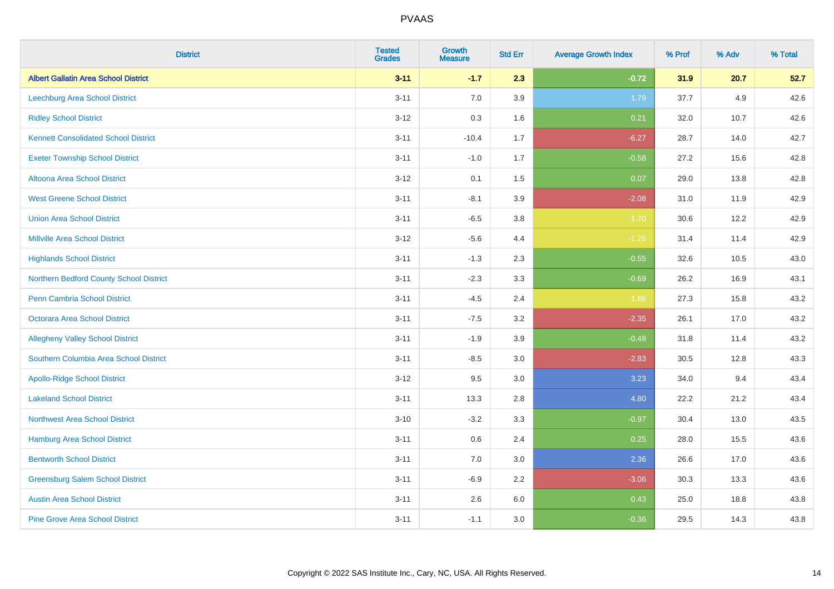| <b>District</b>                             | <b>Tested</b><br><b>Grades</b> | <b>Growth</b><br><b>Measure</b> | <b>Std Err</b> | <b>Average Growth Index</b> | % Prof | % Adv | % Total |
|---------------------------------------------|--------------------------------|---------------------------------|----------------|-----------------------------|--------|-------|---------|
| <b>Albert Gallatin Area School District</b> | $3 - 11$                       | $-1.7$                          | 2.3            | $-0.72$                     | 31.9   | 20.7  | 52.7    |
| Leechburg Area School District              | $3 - 11$                       | 7.0                             | 3.9            | 1.79                        | 37.7   | 4.9   | 42.6    |
| <b>Ridley School District</b>               | $3 - 12$                       | 0.3                             | 1.6            | 0.21                        | 32.0   | 10.7  | 42.6    |
| <b>Kennett Consolidated School District</b> | $3 - 11$                       | $-10.4$                         | 1.7            | $-6.27$                     | 28.7   | 14.0  | 42.7    |
| <b>Exeter Township School District</b>      | $3 - 11$                       | $-1.0$                          | 1.7            | $-0.58$                     | 27.2   | 15.6  | 42.8    |
| <b>Altoona Area School District</b>         | $3 - 12$                       | 0.1                             | 1.5            | 0.07                        | 29.0   | 13.8  | 42.8    |
| <b>West Greene School District</b>          | $3 - 11$                       | $-8.1$                          | 3.9            | $-2.08$                     | 31.0   | 11.9  | 42.9    |
| <b>Union Area School District</b>           | $3 - 11$                       | $-6.5$                          | 3.8            | $-1.70$                     | 30.6   | 12.2  | 42.9    |
| <b>Millville Area School District</b>       | $3 - 12$                       | $-5.6$                          | 4.4            | $-1.26$                     | 31.4   | 11.4  | 42.9    |
| <b>Highlands School District</b>            | $3 - 11$                       | $-1.3$                          | 2.3            | $-0.55$                     | 32.6   | 10.5  | 43.0    |
| Northern Bedford County School District     | $3 - 11$                       | $-2.3$                          | 3.3            | $-0.69$                     | 26.2   | 16.9  | 43.1    |
| <b>Penn Cambria School District</b>         | $3 - 11$                       | $-4.5$                          | 2.4            | $-1.86$                     | 27.3   | 15.8  | 43.2    |
| Octorara Area School District               | $3 - 11$                       | $-7.5$                          | 3.2            | $-2.35$                     | 26.1   | 17.0  | 43.2    |
| <b>Allegheny Valley School District</b>     | $3 - 11$                       | $-1.9$                          | 3.9            | $-0.48$                     | 31.8   | 11.4  | 43.2    |
| Southern Columbia Area School District      | $3 - 11$                       | $-8.5$                          | 3.0            | $-2.83$                     | 30.5   | 12.8  | 43.3    |
| <b>Apollo-Ridge School District</b>         | $3 - 12$                       | 9.5                             | 3.0            | 3.23                        | 34.0   | 9.4   | 43.4    |
| <b>Lakeland School District</b>             | $3 - 11$                       | 13.3                            | 2.8            | 4.80                        | 22.2   | 21.2  | 43.4    |
| <b>Northwest Area School District</b>       | $3 - 10$                       | $-3.2$                          | 3.3            | $-0.97$                     | 30.4   | 13.0  | 43.5    |
| <b>Hamburg Area School District</b>         | $3 - 11$                       | 0.6                             | 2.4            | 0.25                        | 28.0   | 15.5  | 43.6    |
| <b>Bentworth School District</b>            | $3 - 11$                       | 7.0                             | 3.0            | 2.36                        | 26.6   | 17.0  | 43.6    |
| <b>Greensburg Salem School District</b>     | $3 - 11$                       | $-6.9$                          | 2.2            | $-3.06$                     | 30.3   | 13.3  | 43.6    |
| <b>Austin Area School District</b>          | $3 - 11$                       | 2.6                             | 6.0            | 0.43                        | 25.0   | 18.8  | 43.8    |
| <b>Pine Grove Area School District</b>      | $3 - 11$                       | $-1.1$                          | 3.0            | $-0.36$                     | 29.5   | 14.3  | 43.8    |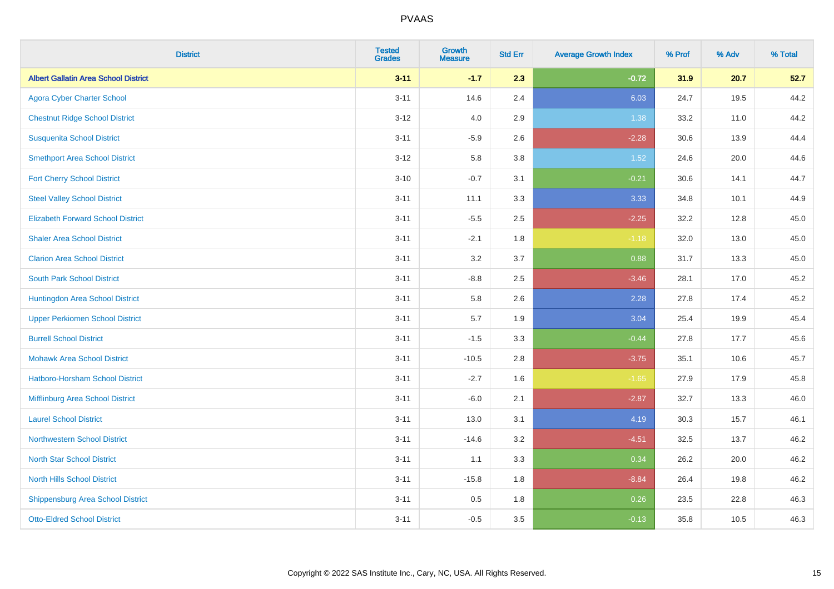| <b>District</b>                             | <b>Tested</b><br><b>Grades</b> | <b>Growth</b><br><b>Measure</b> | <b>Std Err</b> | <b>Average Growth Index</b> | % Prof | % Adv | % Total |
|---------------------------------------------|--------------------------------|---------------------------------|----------------|-----------------------------|--------|-------|---------|
| <b>Albert Gallatin Area School District</b> | $3 - 11$                       | $-1.7$                          | 2.3            | $-0.72$                     | 31.9   | 20.7  | 52.7    |
| <b>Agora Cyber Charter School</b>           | $3 - 11$                       | 14.6                            | 2.4            | 6.03                        | 24.7   | 19.5  | 44.2    |
| <b>Chestnut Ridge School District</b>       | $3 - 12$                       | 4.0                             | 2.9            | 1.38                        | 33.2   | 11.0  | 44.2    |
| <b>Susquenita School District</b>           | $3 - 11$                       | $-5.9$                          | 2.6            | $-2.28$                     | 30.6   | 13.9  | 44.4    |
| <b>Smethport Area School District</b>       | $3 - 12$                       | 5.8                             | 3.8            | 1.52                        | 24.6   | 20.0  | 44.6    |
| <b>Fort Cherry School District</b>          | $3 - 10$                       | $-0.7$                          | 3.1            | $-0.21$                     | 30.6   | 14.1  | 44.7    |
| <b>Steel Valley School District</b>         | $3 - 11$                       | 11.1                            | 3.3            | 3.33                        | 34.8   | 10.1  | 44.9    |
| <b>Elizabeth Forward School District</b>    | $3 - 11$                       | $-5.5$                          | 2.5            | $-2.25$                     | 32.2   | 12.8  | 45.0    |
| <b>Shaler Area School District</b>          | $3 - 11$                       | $-2.1$                          | 1.8            | $-1.18$                     | 32.0   | 13.0  | 45.0    |
| <b>Clarion Area School District</b>         | $3 - 11$                       | 3.2                             | 3.7            | 0.88                        | 31.7   | 13.3  | 45.0    |
| <b>South Park School District</b>           | $3 - 11$                       | $-8.8$                          | 2.5            | $-3.46$                     | 28.1   | 17.0  | 45.2    |
| Huntingdon Area School District             | $3 - 11$                       | 5.8                             | 2.6            | 2.28                        | 27.8   | 17.4  | 45.2    |
| <b>Upper Perkiomen School District</b>      | $3 - 11$                       | 5.7                             | 1.9            | 3.04                        | 25.4   | 19.9  | 45.4    |
| <b>Burrell School District</b>              | $3 - 11$                       | $-1.5$                          | 3.3            | $-0.44$                     | 27.8   | 17.7  | 45.6    |
| <b>Mohawk Area School District</b>          | $3 - 11$                       | $-10.5$                         | 2.8            | $-3.75$                     | 35.1   | 10.6  | 45.7    |
| <b>Hatboro-Horsham School District</b>      | $3 - 11$                       | $-2.7$                          | 1.6            | $-1.65$                     | 27.9   | 17.9  | 45.8    |
| Mifflinburg Area School District            | $3 - 11$                       | $-6.0$                          | 2.1            | $-2.87$                     | 32.7   | 13.3  | 46.0    |
| <b>Laurel School District</b>               | $3 - 11$                       | 13.0                            | 3.1            | 4.19                        | 30.3   | 15.7  | 46.1    |
| Northwestern School District                | $3 - 11$                       | $-14.6$                         | 3.2            | $-4.51$                     | 32.5   | 13.7  | 46.2    |
| <b>North Star School District</b>           | $3 - 11$                       | 1.1                             | 3.3            | 0.34                        | 26.2   | 20.0  | 46.2    |
| <b>North Hills School District</b>          | $3 - 11$                       | $-15.8$                         | 1.8            | $-8.84$                     | 26.4   | 19.8  | 46.2    |
| <b>Shippensburg Area School District</b>    | $3 - 11$                       | 0.5                             | 1.8            | 0.26                        | 23.5   | 22.8  | 46.3    |
| <b>Otto-Eldred School District</b>          | $3 - 11$                       | $-0.5$                          | 3.5            | $-0.13$                     | 35.8   | 10.5  | 46.3    |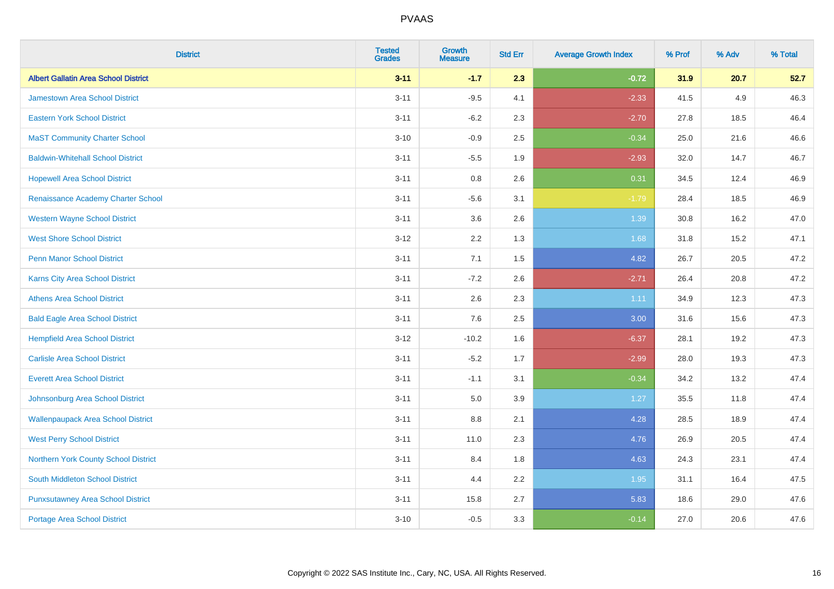| <b>District</b>                             | <b>Tested</b><br><b>Grades</b> | <b>Growth</b><br><b>Measure</b> | <b>Std Err</b> | <b>Average Growth Index</b> | % Prof | % Adv | % Total |
|---------------------------------------------|--------------------------------|---------------------------------|----------------|-----------------------------|--------|-------|---------|
| <b>Albert Gallatin Area School District</b> | $3 - 11$                       | $-1.7$                          | 2.3            | $-0.72$                     | 31.9   | 20.7  | 52.7    |
| <b>Jamestown Area School District</b>       | $3 - 11$                       | $-9.5$                          | 4.1            | $-2.33$                     | 41.5   | 4.9   | 46.3    |
| <b>Eastern York School District</b>         | $3 - 11$                       | $-6.2$                          | 2.3            | $-2.70$                     | 27.8   | 18.5  | 46.4    |
| <b>MaST Community Charter School</b>        | $3 - 10$                       | $-0.9$                          | 2.5            | $-0.34$                     | 25.0   | 21.6  | 46.6    |
| <b>Baldwin-Whitehall School District</b>    | $3 - 11$                       | $-5.5$                          | 1.9            | $-2.93$                     | 32.0   | 14.7  | 46.7    |
| <b>Hopewell Area School District</b>        | $3 - 11$                       | 0.8                             | 2.6            | 0.31                        | 34.5   | 12.4  | 46.9    |
| Renaissance Academy Charter School          | $3 - 11$                       | $-5.6$                          | 3.1            | $-1.79$                     | 28.4   | 18.5  | 46.9    |
| <b>Western Wayne School District</b>        | $3 - 11$                       | 3.6                             | 2.6            | 1.39                        | 30.8   | 16.2  | 47.0    |
| <b>West Shore School District</b>           | $3 - 12$                       | 2.2                             | 1.3            | 1.68                        | 31.8   | 15.2  | 47.1    |
| <b>Penn Manor School District</b>           | $3 - 11$                       | 7.1                             | 1.5            | 4.82                        | 26.7   | 20.5  | 47.2    |
| Karns City Area School District             | $3 - 11$                       | $-7.2$                          | 2.6            | $-2.71$                     | 26.4   | 20.8  | 47.2    |
| <b>Athens Area School District</b>          | $3 - 11$                       | 2.6                             | 2.3            | 1.11                        | 34.9   | 12.3  | 47.3    |
| <b>Bald Eagle Area School District</b>      | $3 - 11$                       | 7.6                             | 2.5            | 3.00                        | 31.6   | 15.6  | 47.3    |
| <b>Hempfield Area School District</b>       | $3 - 12$                       | $-10.2$                         | 1.6            | $-6.37$                     | 28.1   | 19.2  | 47.3    |
| <b>Carlisle Area School District</b>        | $3 - 11$                       | $-5.2$                          | 1.7            | $-2.99$                     | 28.0   | 19.3  | 47.3    |
| <b>Everett Area School District</b>         | $3 - 11$                       | $-1.1$                          | 3.1            | $-0.34$                     | 34.2   | 13.2  | 47.4    |
| Johnsonburg Area School District            | $3 - 11$                       | 5.0                             | 3.9            | 1.27                        | 35.5   | 11.8  | 47.4    |
| <b>Wallenpaupack Area School District</b>   | $3 - 11$                       | 8.8                             | 2.1            | 4.28                        | 28.5   | 18.9  | 47.4    |
| <b>West Perry School District</b>           | $3 - 11$                       | 11.0                            | 2.3            | 4.76                        | 26.9   | 20.5  | 47.4    |
| Northern York County School District        | $3 - 11$                       | 8.4                             | 1.8            | 4.63                        | 24.3   | 23.1  | 47.4    |
| South Middleton School District             | $3 - 11$                       | 4.4                             | 2.2            | 1.95                        | 31.1   | 16.4  | 47.5    |
| <b>Punxsutawney Area School District</b>    | $3 - 11$                       | 15.8                            | 2.7            | 5.83                        | 18.6   | 29.0  | 47.6    |
| Portage Area School District                | $3 - 10$                       | $-0.5$                          | 3.3            | $-0.14$                     | 27.0   | 20.6  | 47.6    |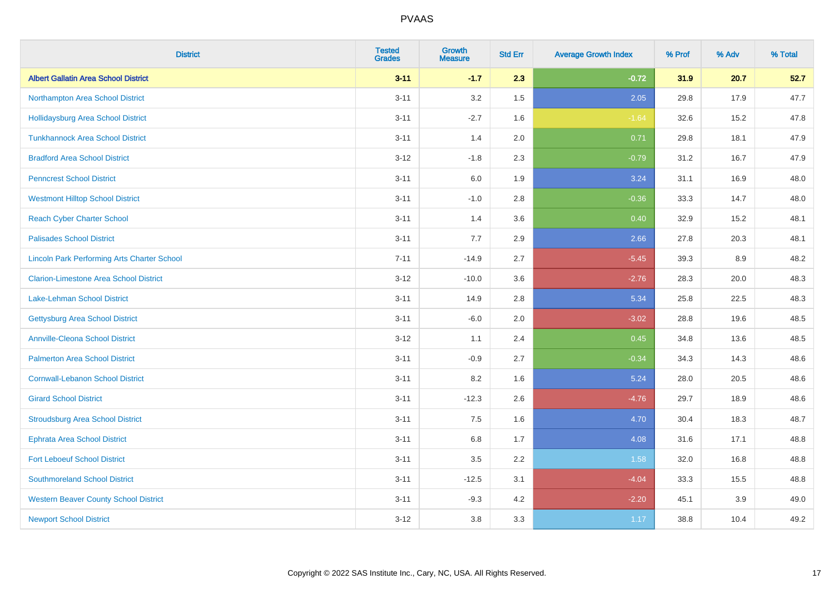| <b>District</b>                                    | <b>Tested</b><br><b>Grades</b> | <b>Growth</b><br><b>Measure</b> | <b>Std Err</b> | <b>Average Growth Index</b> | % Prof | % Adv | % Total |
|----------------------------------------------------|--------------------------------|---------------------------------|----------------|-----------------------------|--------|-------|---------|
| <b>Albert Gallatin Area School District</b>        | $3 - 11$                       | $-1.7$                          | 2.3            | $-0.72$                     | 31.9   | 20.7  | 52.7    |
| Northampton Area School District                   | $3 - 11$                       | 3.2                             | 1.5            | 2.05                        | 29.8   | 17.9  | 47.7    |
| <b>Hollidaysburg Area School District</b>          | $3 - 11$                       | $-2.7$                          | 1.6            | $-1.64$                     | 32.6   | 15.2  | 47.8    |
| <b>Tunkhannock Area School District</b>            | $3 - 11$                       | 1.4                             | 2.0            | 0.71                        | 29.8   | 18.1  | 47.9    |
| <b>Bradford Area School District</b>               | $3 - 12$                       | $-1.8$                          | 2.3            | $-0.79$                     | 31.2   | 16.7  | 47.9    |
| <b>Penncrest School District</b>                   | $3 - 11$                       | 6.0                             | 1.9            | 3.24                        | 31.1   | 16.9  | 48.0    |
| <b>Westmont Hilltop School District</b>            | $3 - 11$                       | $-1.0$                          | 2.8            | $-0.36$                     | 33.3   | 14.7  | 48.0    |
| <b>Reach Cyber Charter School</b>                  | $3 - 11$                       | 1.4                             | 3.6            | 0.40                        | 32.9   | 15.2  | 48.1    |
| <b>Palisades School District</b>                   | $3 - 11$                       | 7.7                             | 2.9            | 2.66                        | 27.8   | 20.3  | 48.1    |
| <b>Lincoln Park Performing Arts Charter School</b> | $7 - 11$                       | $-14.9$                         | 2.7            | $-5.45$                     | 39.3   | 8.9   | 48.2    |
| <b>Clarion-Limestone Area School District</b>      | $3 - 12$                       | $-10.0$                         | 3.6            | $-2.76$                     | 28.3   | 20.0  | 48.3    |
| <b>Lake-Lehman School District</b>                 | $3 - 11$                       | 14.9                            | 2.8            | 5.34                        | 25.8   | 22.5  | 48.3    |
| <b>Gettysburg Area School District</b>             | $3 - 11$                       | $-6.0$                          | 2.0            | $-3.02$                     | 28.8   | 19.6  | 48.5    |
| <b>Annville-Cleona School District</b>             | $3 - 12$                       | 1.1                             | 2.4            | 0.45                        | 34.8   | 13.6  | 48.5    |
| <b>Palmerton Area School District</b>              | $3 - 11$                       | $-0.9$                          | 2.7            | $-0.34$                     | 34.3   | 14.3  | 48.6    |
| <b>Cornwall-Lebanon School District</b>            | $3 - 11$                       | 8.2                             | 1.6            | 5.24                        | 28.0   | 20.5  | 48.6    |
| <b>Girard School District</b>                      | $3 - 11$                       | $-12.3$                         | 2.6            | $-4.76$                     | 29.7   | 18.9  | 48.6    |
| <b>Stroudsburg Area School District</b>            | $3 - 11$                       | 7.5                             | 1.6            | 4.70                        | 30.4   | 18.3  | 48.7    |
| <b>Ephrata Area School District</b>                | $3 - 11$                       | $6.8\,$                         | 1.7            | 4.08                        | 31.6   | 17.1  | 48.8    |
| <b>Fort Leboeuf School District</b>                | $3 - 11$                       | 3.5                             | 2.2            | 1.58                        | 32.0   | 16.8  | 48.8    |
| <b>Southmoreland School District</b>               | $3 - 11$                       | $-12.5$                         | 3.1            | $-4.04$                     | 33.3   | 15.5  | 48.8    |
| <b>Western Beaver County School District</b>       | $3 - 11$                       | $-9.3$                          | 4.2            | $-2.20$                     | 45.1   | 3.9   | 49.0    |
| <b>Newport School District</b>                     | $3 - 12$                       | 3.8                             | 3.3            | 1.17                        | 38.8   | 10.4  | 49.2    |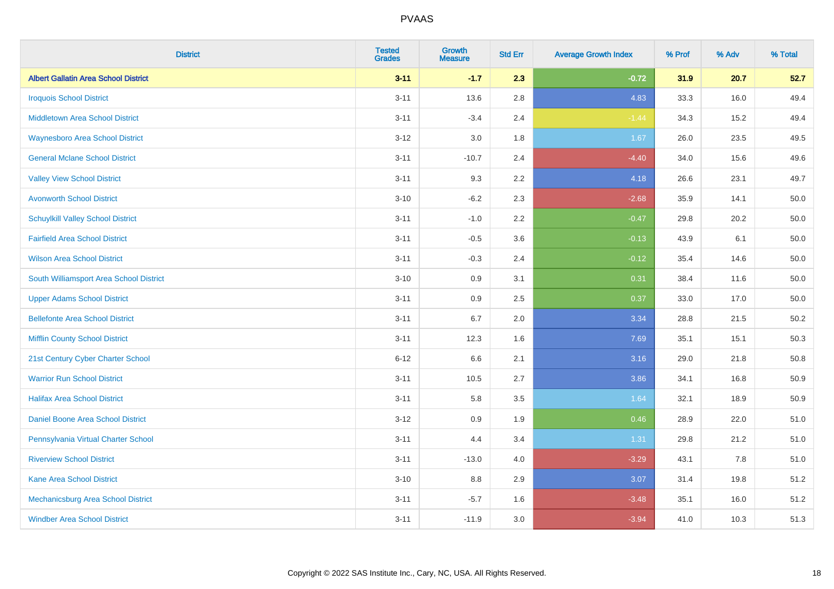| <b>District</b>                             | <b>Tested</b><br><b>Grades</b> | <b>Growth</b><br><b>Measure</b> | <b>Std Err</b> | <b>Average Growth Index</b> | % Prof | % Adv | % Total |
|---------------------------------------------|--------------------------------|---------------------------------|----------------|-----------------------------|--------|-------|---------|
| <b>Albert Gallatin Area School District</b> | $3 - 11$                       | $-1.7$                          | 2.3            | $-0.72$                     | 31.9   | 20.7  | 52.7    |
| <b>Iroquois School District</b>             | $3 - 11$                       | 13.6                            | 2.8            | 4.83                        | 33.3   | 16.0  | 49.4    |
| <b>Middletown Area School District</b>      | $3 - 11$                       | $-3.4$                          | 2.4            | $-1.44$                     | 34.3   | 15.2  | 49.4    |
| <b>Waynesboro Area School District</b>      | $3 - 12$                       | 3.0                             | 1.8            | 1.67                        | 26.0   | 23.5  | 49.5    |
| <b>General Mclane School District</b>       | $3 - 11$                       | $-10.7$                         | 2.4            | $-4.40$                     | 34.0   | 15.6  | 49.6    |
| <b>Valley View School District</b>          | $3 - 11$                       | 9.3                             | 2.2            | 4.18                        | 26.6   | 23.1  | 49.7    |
| <b>Avonworth School District</b>            | $3 - 10$                       | $-6.2$                          | 2.3            | $-2.68$                     | 35.9   | 14.1  | 50.0    |
| <b>Schuylkill Valley School District</b>    | $3 - 11$                       | $-1.0$                          | 2.2            | $-0.47$                     | 29.8   | 20.2  | 50.0    |
| <b>Fairfield Area School District</b>       | $3 - 11$                       | $-0.5$                          | 3.6            | $-0.13$                     | 43.9   | 6.1   | 50.0    |
| <b>Wilson Area School District</b>          | $3 - 11$                       | $-0.3$                          | 2.4            | $-0.12$                     | 35.4   | 14.6  | 50.0    |
| South Williamsport Area School District     | $3 - 10$                       | 0.9                             | 3.1            | 0.31                        | 38.4   | 11.6  | 50.0    |
| <b>Upper Adams School District</b>          | $3 - 11$                       | 0.9                             | 2.5            | 0.37                        | 33.0   | 17.0  | 50.0    |
| <b>Bellefonte Area School District</b>      | $3 - 11$                       | 6.7                             | 2.0            | 3.34                        | 28.8   | 21.5  | 50.2    |
| <b>Mifflin County School District</b>       | $3 - 11$                       | 12.3                            | 1.6            | 7.69                        | 35.1   | 15.1  | 50.3    |
| 21st Century Cyber Charter School           | $6 - 12$                       | 6.6                             | 2.1            | 3.16                        | 29.0   | 21.8  | 50.8    |
| <b>Warrior Run School District</b>          | $3 - 11$                       | 10.5                            | 2.7            | 3.86                        | 34.1   | 16.8  | 50.9    |
| <b>Halifax Area School District</b>         | $3 - 11$                       | 5.8                             | 3.5            | 1.64                        | 32.1   | 18.9  | 50.9    |
| Daniel Boone Area School District           | $3 - 12$                       | 0.9                             | 1.9            | 0.46                        | 28.9   | 22.0  | 51.0    |
| Pennsylvania Virtual Charter School         | $3 - 11$                       | 4.4                             | 3.4            | 1.31                        | 29.8   | 21.2  | 51.0    |
| <b>Riverview School District</b>            | $3 - 11$                       | $-13.0$                         | 4.0            | $-3.29$                     | 43.1   | 7.8   | 51.0    |
| Kane Area School District                   | $3 - 10$                       | 8.8                             | 2.9            | 3.07                        | 31.4   | 19.8  | 51.2    |
| <b>Mechanicsburg Area School District</b>   | $3 - 11$                       | $-5.7$                          | 1.6            | $-3.48$                     | 35.1   | 16.0  | 51.2    |
| <b>Windber Area School District</b>         | $3 - 11$                       | $-11.9$                         | 3.0            | $-3.94$                     | 41.0   | 10.3  | 51.3    |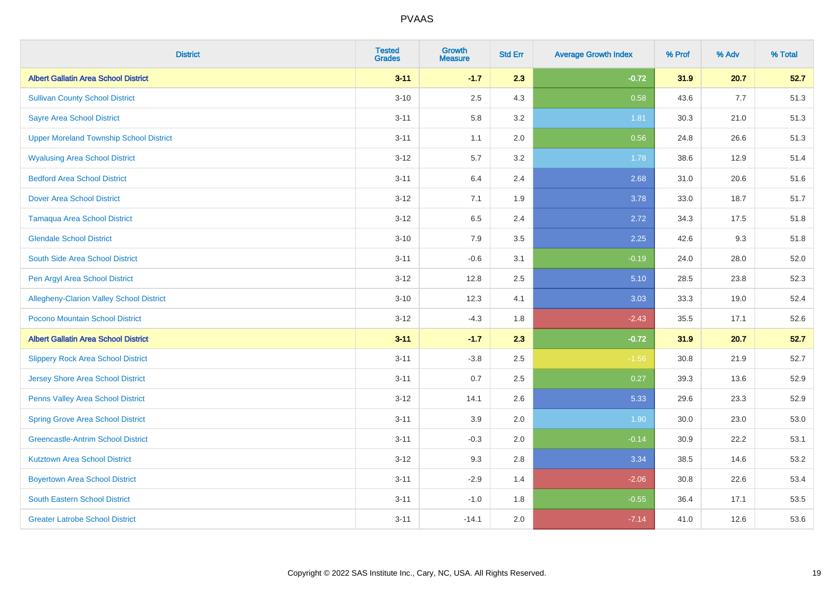| <b>District</b>                                 | <b>Tested</b><br><b>Grades</b> | <b>Growth</b><br><b>Measure</b> | <b>Std Err</b> | <b>Average Growth Index</b> | % Prof | % Adv | % Total |
|-------------------------------------------------|--------------------------------|---------------------------------|----------------|-----------------------------|--------|-------|---------|
| <b>Albert Gallatin Area School District</b>     | $3 - 11$                       | $-1.7$                          | 2.3            | $-0.72$                     | 31.9   | 20.7  | 52.7    |
| <b>Sullivan County School District</b>          | $3 - 10$                       | 2.5                             | 4.3            | 0.58                        | 43.6   | 7.7   | 51.3    |
| <b>Sayre Area School District</b>               | $3 - 11$                       | 5.8                             | 3.2            | 1.81                        | 30.3   | 21.0  | 51.3    |
| <b>Upper Moreland Township School District</b>  | $3 - 11$                       | 1.1                             | 2.0            | 0.56                        | 24.8   | 26.6  | 51.3    |
| <b>Wyalusing Area School District</b>           | $3-12$                         | 5.7                             | 3.2            | 1.78                        | 38.6   | 12.9  | 51.4    |
| <b>Bedford Area School District</b>             | $3 - 11$                       | 6.4                             | 2.4            | 2.68                        | 31.0   | 20.6  | 51.6    |
| <b>Dover Area School District</b>               | $3 - 12$                       | 7.1                             | 1.9            | 3.78                        | 33.0   | 18.7  | 51.7    |
| <b>Tamaqua Area School District</b>             | $3 - 12$                       | 6.5                             | 2.4            | 2.72                        | 34.3   | 17.5  | 51.8    |
| <b>Glendale School District</b>                 | $3 - 10$                       | 7.9                             | 3.5            | 2.25                        | 42.6   | 9.3   | 51.8    |
| South Side Area School District                 | $3 - 11$                       | $-0.6$                          | 3.1            | $-0.19$                     | 24.0   | 28.0  | 52.0    |
| Pen Argyl Area School District                  | $3-12$                         | 12.8                            | 2.5            | 5.10                        | 28.5   | 23.8  | 52.3    |
| <b>Allegheny-Clarion Valley School District</b> | $3 - 10$                       | 12.3                            | 4.1            | 3.03                        | 33.3   | 19.0  | 52.4    |
| Pocono Mountain School District                 | $3-12$                         | $-4.3$                          | 1.8            | $-2.43$                     | 35.5   | 17.1  | 52.6    |
| <b>Albert Gallatin Area School District</b>     | $3 - 11$                       | $-1.7$                          | 2.3            | $-0.72$                     | 31.9   | 20.7  | 52.7    |
| <b>Slippery Rock Area School District</b>       | $3 - 11$                       | $-3.8$                          | 2.5            | $-1.56$                     | 30.8   | 21.9  | 52.7    |
| <b>Jersey Shore Area School District</b>        | $3 - 11$                       | 0.7                             | 2.5            | 0.27                        | 39.3   | 13.6  | 52.9    |
| Penns Valley Area School District               | $3-12$                         | 14.1                            | 2.6            | 5.33                        | 29.6   | 23.3  | 52.9    |
| <b>Spring Grove Area School District</b>        | $3 - 11$                       | 3.9                             | 2.0            | 1.90                        | 30.0   | 23.0  | 53.0    |
| <b>Greencastle-Antrim School District</b>       | $3 - 11$                       | $-0.3$                          | 2.0            | $-0.14$                     | 30.9   | 22.2  | 53.1    |
| <b>Kutztown Area School District</b>            | $3 - 12$                       | 9.3                             | 2.8            | 3.34                        | 38.5   | 14.6  | 53.2    |
| <b>Boyertown Area School District</b>           | $3 - 11$                       | $-2.9$                          | 1.4            | $-2.06$                     | 30.8   | 22.6  | 53.4    |
| <b>South Eastern School District</b>            | $3 - 11$                       | $-1.0$                          | 1.8            | $-0.55$                     | 36.4   | 17.1  | 53.5    |
| <b>Greater Latrobe School District</b>          | $3 - 11$                       | $-14.1$                         | 2.0            | $-7.14$                     | 41.0   | 12.6  | 53.6    |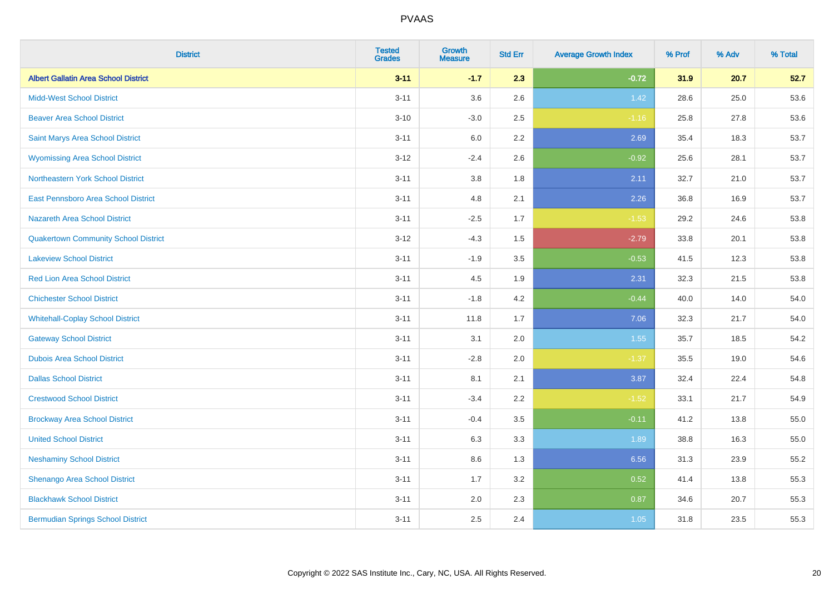| <b>District</b>                             | <b>Tested</b><br><b>Grades</b> | <b>Growth</b><br><b>Measure</b> | <b>Std Err</b> | <b>Average Growth Index</b> | % Prof | % Adv | % Total |
|---------------------------------------------|--------------------------------|---------------------------------|----------------|-----------------------------|--------|-------|---------|
| <b>Albert Gallatin Area School District</b> | $3 - 11$                       | $-1.7$                          | 2.3            | $-0.72$                     | 31.9   | 20.7  | 52.7    |
| <b>Midd-West School District</b>            | $3 - 11$                       | 3.6                             | 2.6            | 1.42                        | 28.6   | 25.0  | 53.6    |
| <b>Beaver Area School District</b>          | $3 - 10$                       | $-3.0$                          | 2.5            | $-1.16$                     | 25.8   | 27.8  | 53.6    |
| Saint Marys Area School District            | $3 - 11$                       | 6.0                             | 2.2            | 2.69                        | 35.4   | 18.3  | 53.7    |
| <b>Wyomissing Area School District</b>      | $3-12$                         | $-2.4$                          | 2.6            | $-0.92$                     | 25.6   | 28.1  | 53.7    |
| Northeastern York School District           | $3 - 11$                       | 3.8                             | 1.8            | 2.11                        | 32.7   | 21.0  | 53.7    |
| East Pennsboro Area School District         | $3 - 11$                       | 4.8                             | 2.1            | 2.26                        | 36.8   | 16.9  | 53.7    |
| <b>Nazareth Area School District</b>        | $3 - 11$                       | $-2.5$                          | 1.7            | $-1.53$                     | 29.2   | 24.6  | 53.8    |
| <b>Quakertown Community School District</b> | $3-12$                         | $-4.3$                          | 1.5            | $-2.79$                     | 33.8   | 20.1  | 53.8    |
| <b>Lakeview School District</b>             | $3 - 11$                       | $-1.9$                          | 3.5            | $-0.53$                     | 41.5   | 12.3  | 53.8    |
| <b>Red Lion Area School District</b>        | $3 - 11$                       | 4.5                             | 1.9            | 2.31                        | 32.3   | 21.5  | 53.8    |
| <b>Chichester School District</b>           | $3 - 11$                       | $-1.8$                          | 4.2            | $-0.44$                     | 40.0   | 14.0  | 54.0    |
| <b>Whitehall-Coplay School District</b>     | $3 - 11$                       | 11.8                            | 1.7            | 7.06                        | 32.3   | 21.7  | 54.0    |
| <b>Gateway School District</b>              | $3 - 11$                       | 3.1                             | 2.0            | 1.55                        | 35.7   | 18.5  | 54.2    |
| <b>Dubois Area School District</b>          | $3 - 11$                       | $-2.8$                          | 2.0            | $-1.37$                     | 35.5   | 19.0  | 54.6    |
| <b>Dallas School District</b>               | $3 - 11$                       | 8.1                             | 2.1            | 3.87                        | 32.4   | 22.4  | 54.8    |
| <b>Crestwood School District</b>            | $3 - 11$                       | $-3.4$                          | 2.2            | $-1.52$                     | 33.1   | 21.7  | 54.9    |
| <b>Brockway Area School District</b>        | $3 - 11$                       | $-0.4$                          | 3.5            | $-0.11$                     | 41.2   | 13.8  | 55.0    |
| <b>United School District</b>               | $3 - 11$                       | 6.3                             | 3.3            | 1.89                        | 38.8   | 16.3  | 55.0    |
| <b>Neshaminy School District</b>            | $3 - 11$                       | 8.6                             | 1.3            | 6.56                        | 31.3   | 23.9  | 55.2    |
| Shenango Area School District               | $3 - 11$                       | 1.7                             | 3.2            | 0.52                        | 41.4   | 13.8  | 55.3    |
| <b>Blackhawk School District</b>            | $3 - 11$                       | 2.0                             | 2.3            | 0.87                        | 34.6   | 20.7  | 55.3    |
| <b>Bermudian Springs School District</b>    | $3 - 11$                       | 2.5                             | 2.4            | 1.05                        | 31.8   | 23.5  | 55.3    |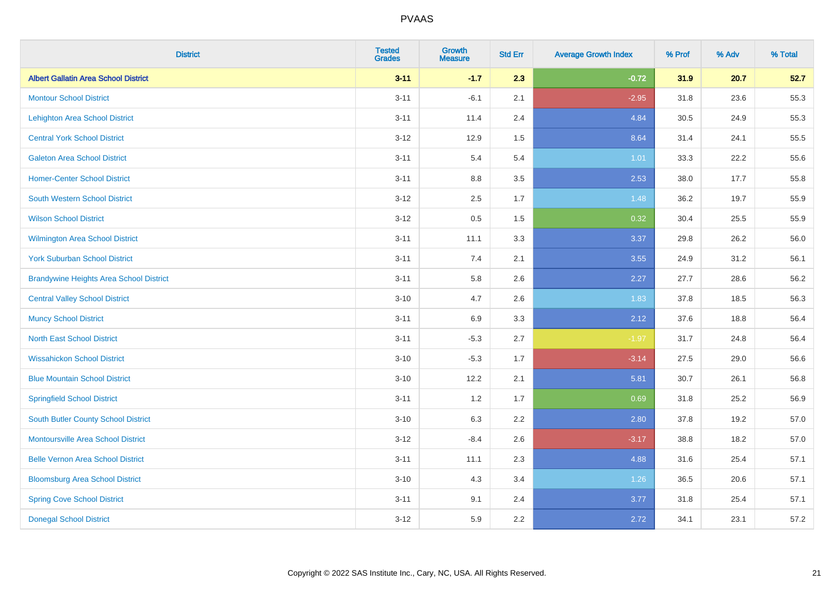| <b>District</b>                                | <b>Tested</b><br><b>Grades</b> | <b>Growth</b><br><b>Measure</b> | <b>Std Err</b> | <b>Average Growth Index</b> | % Prof | % Adv | % Total |
|------------------------------------------------|--------------------------------|---------------------------------|----------------|-----------------------------|--------|-------|---------|
| <b>Albert Gallatin Area School District</b>    | $3 - 11$                       | $-1.7$                          | 2.3            | $-0.72$                     | 31.9   | 20.7  | 52.7    |
| <b>Montour School District</b>                 | $3 - 11$                       | $-6.1$                          | 2.1            | $-2.95$                     | 31.8   | 23.6  | 55.3    |
| <b>Lehighton Area School District</b>          | $3 - 11$                       | 11.4                            | 2.4            | 4.84                        | 30.5   | 24.9  | 55.3    |
| <b>Central York School District</b>            | $3 - 12$                       | 12.9                            | 1.5            | 8.64                        | 31.4   | 24.1  | 55.5    |
| <b>Galeton Area School District</b>            | $3 - 11$                       | 5.4                             | 5.4            | 1.01                        | 33.3   | 22.2  | 55.6    |
| <b>Homer-Center School District</b>            | $3 - 11$                       | 8.8                             | 3.5            | 2.53                        | 38.0   | 17.7  | 55.8    |
| <b>South Western School District</b>           | $3 - 12$                       | 2.5                             | 1.7            | 1.48                        | 36.2   | 19.7  | 55.9    |
| <b>Wilson School District</b>                  | $3 - 12$                       | 0.5                             | 1.5            | 0.32                        | 30.4   | 25.5  | 55.9    |
| Wilmington Area School District                | $3 - 11$                       | 11.1                            | 3.3            | 3.37                        | 29.8   | 26.2  | 56.0    |
| <b>York Suburban School District</b>           | $3 - 11$                       | 7.4                             | 2.1            | 3.55                        | 24.9   | 31.2  | 56.1    |
| <b>Brandywine Heights Area School District</b> | $3 - 11$                       | 5.8                             | 2.6            | 2.27                        | 27.7   | 28.6  | 56.2    |
| <b>Central Valley School District</b>          | $3 - 10$                       | 4.7                             | 2.6            | 1.83                        | 37.8   | 18.5  | 56.3    |
| <b>Muncy School District</b>                   | $3 - 11$                       | 6.9                             | 3.3            | 2.12                        | 37.6   | 18.8  | 56.4    |
| <b>North East School District</b>              | $3 - 11$                       | $-5.3$                          | 2.7            | $-1.97$                     | 31.7   | 24.8  | 56.4    |
| <b>Wissahickon School District</b>             | $3 - 10$                       | $-5.3$                          | 1.7            | $-3.14$                     | 27.5   | 29.0  | 56.6    |
| <b>Blue Mountain School District</b>           | $3 - 10$                       | 12.2                            | 2.1            | 5.81                        | 30.7   | 26.1  | 56.8    |
| <b>Springfield School District</b>             | $3 - 11$                       | 1.2                             | 1.7            | 0.69                        | 31.8   | 25.2  | 56.9    |
| <b>South Butler County School District</b>     | $3 - 10$                       | 6.3                             | 2.2            | 2.80                        | 37.8   | 19.2  | 57.0    |
| Montoursville Area School District             | $3 - 12$                       | $-8.4$                          | 2.6            | $-3.17$                     | 38.8   | 18.2  | 57.0    |
| <b>Belle Vernon Area School District</b>       | $3 - 11$                       | 11.1                            | 2.3            | 4.88                        | 31.6   | 25.4  | 57.1    |
| <b>Bloomsburg Area School District</b>         | $3 - 10$                       | 4.3                             | 3.4            | 1.26                        | 36.5   | 20.6  | 57.1    |
| <b>Spring Cove School District</b>             | $3 - 11$                       | 9.1                             | 2.4            | 3.77                        | 31.8   | 25.4  | 57.1    |
| <b>Donegal School District</b>                 | $3 - 12$                       | 5.9                             | 2.2            | 2.72                        | 34.1   | 23.1  | 57.2    |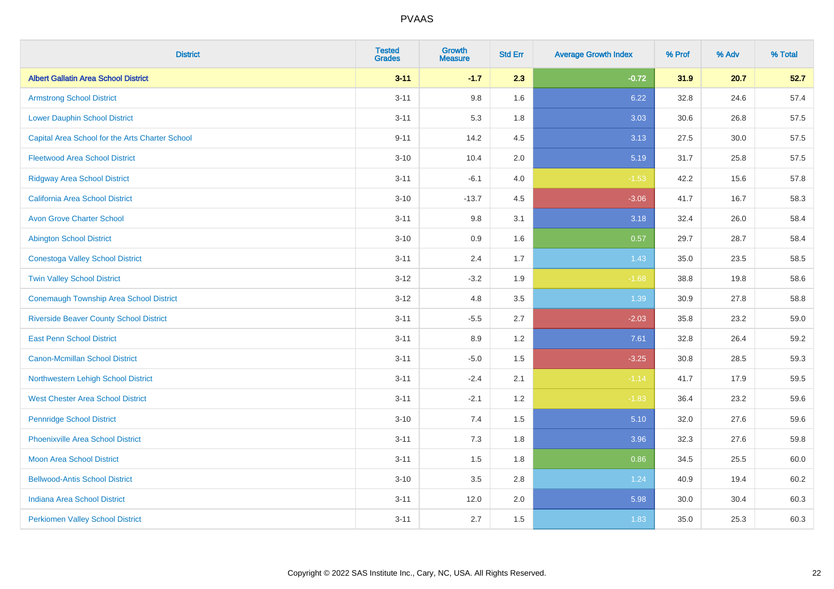| <b>District</b>                                 | <b>Tested</b><br><b>Grades</b> | <b>Growth</b><br><b>Measure</b> | <b>Std Err</b> | <b>Average Growth Index</b> | % Prof | % Adv | % Total |
|-------------------------------------------------|--------------------------------|---------------------------------|----------------|-----------------------------|--------|-------|---------|
| <b>Albert Gallatin Area School District</b>     | $3 - 11$                       | $-1.7$                          | 2.3            | $-0.72$                     | 31.9   | 20.7  | 52.7    |
| <b>Armstrong School District</b>                | $3 - 11$                       | 9.8                             | 1.6            | 6.22                        | 32.8   | 24.6  | 57.4    |
| <b>Lower Dauphin School District</b>            | $3 - 11$                       | 5.3                             | 1.8            | 3.03                        | 30.6   | 26.8  | 57.5    |
| Capital Area School for the Arts Charter School | $9 - 11$                       | 14.2                            | 4.5            | 3.13                        | 27.5   | 30.0  | 57.5    |
| <b>Fleetwood Area School District</b>           | $3 - 10$                       | 10.4                            | 2.0            | 5.19                        | 31.7   | 25.8  | 57.5    |
| <b>Ridgway Area School District</b>             | $3 - 11$                       | $-6.1$                          | 4.0            | $-1.53$                     | 42.2   | 15.6  | 57.8    |
| <b>California Area School District</b>          | $3 - 10$                       | $-13.7$                         | 4.5            | $-3.06$                     | 41.7   | 16.7  | 58.3    |
| <b>Avon Grove Charter School</b>                | $3 - 11$                       | 9.8                             | 3.1            | 3.18                        | 32.4   | 26.0  | 58.4    |
| <b>Abington School District</b>                 | $3 - 10$                       | 0.9                             | 1.6            | 0.57                        | 29.7   | 28.7  | 58.4    |
| <b>Conestoga Valley School District</b>         | $3 - 11$                       | 2.4                             | 1.7            | 1.43                        | 35.0   | 23.5  | 58.5    |
| <b>Twin Valley School District</b>              | $3 - 12$                       | $-3.2$                          | 1.9            | $-1.68$                     | 38.8   | 19.8  | 58.6    |
| <b>Conemaugh Township Area School District</b>  | $3 - 12$                       | 4.8                             | 3.5            | 1.39                        | 30.9   | 27.8  | 58.8    |
| <b>Riverside Beaver County School District</b>  | $3 - 11$                       | $-5.5$                          | 2.7            | $-2.03$                     | 35.8   | 23.2  | 59.0    |
| <b>East Penn School District</b>                | $3 - 11$                       | 8.9                             | 1.2            | 7.61                        | 32.8   | 26.4  | 59.2    |
| <b>Canon-Mcmillan School District</b>           | $3 - 11$                       | $-5.0$                          | 1.5            | $-3.25$                     | 30.8   | 28.5  | 59.3    |
| Northwestern Lehigh School District             | $3 - 11$                       | $-2.4$                          | 2.1            | $-1.14$                     | 41.7   | 17.9  | 59.5    |
| <b>West Chester Area School District</b>        | $3 - 11$                       | $-2.1$                          | 1.2            | $-1.83$                     | 36.4   | 23.2  | 59.6    |
| <b>Pennridge School District</b>                | $3 - 10$                       | 7.4                             | 1.5            | 5.10                        | 32.0   | 27.6  | 59.6    |
| <b>Phoenixville Area School District</b>        | $3 - 11$                       | 7.3                             | 1.8            | 3.96                        | 32.3   | 27.6  | 59.8    |
| <b>Moon Area School District</b>                | $3 - 11$                       | 1.5                             | 1.8            | 0.86                        | 34.5   | 25.5  | 60.0    |
| <b>Bellwood-Antis School District</b>           | $3 - 10$                       | 3.5                             | 2.8            | 1.24                        | 40.9   | 19.4  | 60.2    |
| <b>Indiana Area School District</b>             | $3 - 11$                       | 12.0                            | 2.0            | 5.98                        | 30.0   | 30.4  | 60.3    |
| <b>Perkiomen Valley School District</b>         | $3 - 11$                       | 2.7                             | 1.5            | 1.83                        | 35.0   | 25.3  | 60.3    |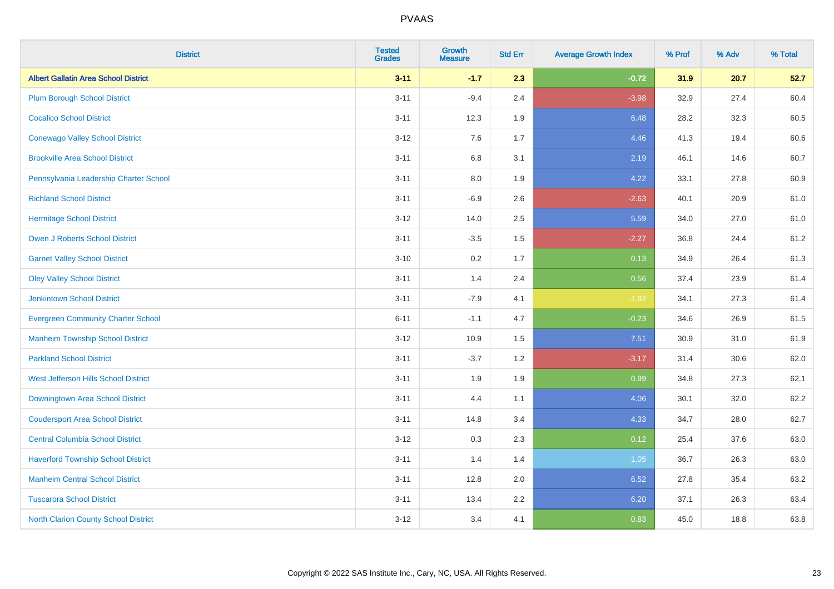| <b>District</b>                             | <b>Tested</b><br><b>Grades</b> | <b>Growth</b><br><b>Measure</b> | <b>Std Err</b> | <b>Average Growth Index</b> | % Prof | % Adv | % Total |
|---------------------------------------------|--------------------------------|---------------------------------|----------------|-----------------------------|--------|-------|---------|
| <b>Albert Gallatin Area School District</b> | $3 - 11$                       | $-1.7$                          | 2.3            | $-0.72$                     | 31.9   | 20.7  | 52.7    |
| <b>Plum Borough School District</b>         | $3 - 11$                       | $-9.4$                          | 2.4            | $-3.98$                     | 32.9   | 27.4  | 60.4    |
| <b>Cocalico School District</b>             | $3 - 11$                       | 12.3                            | 1.9            | 6.48                        | 28.2   | 32.3  | 60.5    |
| <b>Conewago Valley School District</b>      | $3 - 12$                       | 7.6                             | 1.7            | 4.46                        | 41.3   | 19.4  | 60.6    |
| <b>Brookville Area School District</b>      | $3 - 11$                       | 6.8                             | 3.1            | 2.19                        | 46.1   | 14.6  | 60.7    |
| Pennsylvania Leadership Charter School      | $3 - 11$                       | 8.0                             | 1.9            | 4.22                        | 33.1   | 27.8  | 60.9    |
| <b>Richland School District</b>             | $3 - 11$                       | $-6.9$                          | 2.6            | $-2.63$                     | 40.1   | 20.9  | 61.0    |
| <b>Hermitage School District</b>            | $3 - 12$                       | 14.0                            | 2.5            | 5.59                        | 34.0   | 27.0  | 61.0    |
| <b>Owen J Roberts School District</b>       | $3 - 11$                       | $-3.5$                          | 1.5            | $-2.27$                     | 36.8   | 24.4  | 61.2    |
| <b>Garnet Valley School District</b>        | $3 - 10$                       | $0.2\,$                         | 1.7            | 0.13                        | 34.9   | 26.4  | 61.3    |
| <b>Oley Valley School District</b>          | $3 - 11$                       | 1.4                             | 2.4            | 0.56                        | 37.4   | 23.9  | 61.4    |
| <b>Jenkintown School District</b>           | $3 - 11$                       | $-7.9$                          | 4.1            | $-1.92$                     | 34.1   | 27.3  | 61.4    |
| <b>Evergreen Community Charter School</b>   | $6 - 11$                       | $-1.1$                          | 4.7            | $-0.23$                     | 34.6   | 26.9  | 61.5    |
| <b>Manheim Township School District</b>     | $3 - 12$                       | 10.9                            | 1.5            | 7.51                        | 30.9   | 31.0  | 61.9    |
| <b>Parkland School District</b>             | $3 - 11$                       | $-3.7$                          | 1.2            | $-3.17$                     | 31.4   | 30.6  | 62.0    |
| West Jefferson Hills School District        | $3 - 11$                       | 1.9                             | 1.9            | 0.99                        | 34.8   | 27.3  | 62.1    |
| Downingtown Area School District            | $3 - 11$                       | 4.4                             | 1.1            | 4.06                        | 30.1   | 32.0  | 62.2    |
| <b>Coudersport Area School District</b>     | $3 - 11$                       | 14.8                            | 3.4            | 4.33                        | 34.7   | 28.0  | 62.7    |
| <b>Central Columbia School District</b>     | $3 - 12$                       | 0.3                             | 2.3            | 0.12                        | 25.4   | 37.6  | 63.0    |
| <b>Haverford Township School District</b>   | $3 - 11$                       | 1.4                             | 1.4            | 1.05                        | 36.7   | 26.3  | 63.0    |
| <b>Manheim Central School District</b>      | $3 - 11$                       | 12.8                            | 2.0            | 6.52                        | 27.8   | 35.4  | 63.2    |
| <b>Tuscarora School District</b>            | $3 - 11$                       | 13.4                            | 2.2            | 6.20                        | 37.1   | 26.3  | 63.4    |
| <b>North Clarion County School District</b> | $3 - 12$                       | 3.4                             | 4.1            | 0.83                        | 45.0   | 18.8  | 63.8    |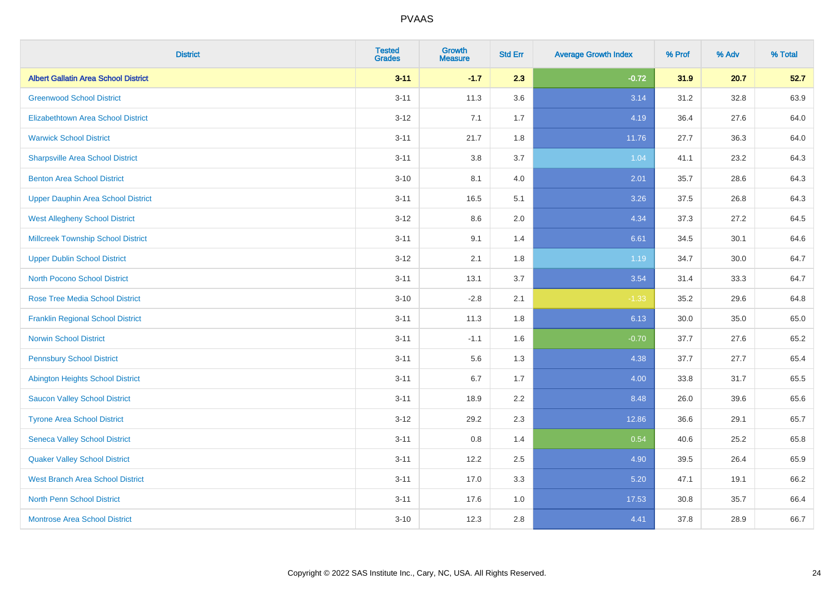| <b>District</b>                             | <b>Tested</b><br><b>Grades</b> | <b>Growth</b><br><b>Measure</b> | <b>Std Err</b> | <b>Average Growth Index</b> | % Prof | % Adv | % Total |
|---------------------------------------------|--------------------------------|---------------------------------|----------------|-----------------------------|--------|-------|---------|
| <b>Albert Gallatin Area School District</b> | $3 - 11$                       | $-1.7$                          | 2.3            | $-0.72$                     | 31.9   | 20.7  | 52.7    |
| <b>Greenwood School District</b>            | $3 - 11$                       | 11.3                            | 3.6            | 3.14                        | 31.2   | 32.8  | 63.9    |
| <b>Elizabethtown Area School District</b>   | $3 - 12$                       | 7.1                             | 1.7            | 4.19                        | 36.4   | 27.6  | 64.0    |
| <b>Warwick School District</b>              | $3 - 11$                       | 21.7                            | 1.8            | 11.76                       | 27.7   | 36.3  | 64.0    |
| <b>Sharpsville Area School District</b>     | $3 - 11$                       | 3.8                             | 3.7            | 1.04                        | 41.1   | 23.2  | 64.3    |
| <b>Benton Area School District</b>          | $3 - 10$                       | 8.1                             | 4.0            | 2.01                        | 35.7   | 28.6  | 64.3    |
| <b>Upper Dauphin Area School District</b>   | $3 - 11$                       | 16.5                            | 5.1            | 3.26                        | 37.5   | 26.8  | 64.3    |
| <b>West Allegheny School District</b>       | $3 - 12$                       | 8.6                             | 2.0            | 4.34                        | 37.3   | 27.2  | 64.5    |
| <b>Millcreek Township School District</b>   | $3 - 11$                       | 9.1                             | 1.4            | 6.61                        | 34.5   | 30.1  | 64.6    |
| <b>Upper Dublin School District</b>         | $3 - 12$                       | 2.1                             | 1.8            | 1.19                        | 34.7   | 30.0  | 64.7    |
| <b>North Pocono School District</b>         | $3 - 11$                       | 13.1                            | 3.7            | 3.54                        | 31.4   | 33.3  | 64.7    |
| <b>Rose Tree Media School District</b>      | $3 - 10$                       | $-2.8$                          | 2.1            | $-1.33$                     | 35.2   | 29.6  | 64.8    |
| <b>Franklin Regional School District</b>    | $3 - 11$                       | 11.3                            | 1.8            | 6.13                        | 30.0   | 35.0  | 65.0    |
| <b>Norwin School District</b>               | $3 - 11$                       | $-1.1$                          | 1.6            | $-0.70$                     | 37.7   | 27.6  | 65.2    |
| <b>Pennsbury School District</b>            | $3 - 11$                       | 5.6                             | 1.3            | 4.38                        | 37.7   | 27.7  | 65.4    |
| <b>Abington Heights School District</b>     | $3 - 11$                       | 6.7                             | 1.7            | 4.00                        | 33.8   | 31.7  | 65.5    |
| <b>Saucon Valley School District</b>        | $3 - 11$                       | 18.9                            | 2.2            | 8.48                        | 26.0   | 39.6  | 65.6    |
| <b>Tyrone Area School District</b>          | $3 - 12$                       | 29.2                            | 2.3            | 12.86                       | 36.6   | 29.1  | 65.7    |
| <b>Seneca Valley School District</b>        | $3 - 11$                       | 0.8                             | 1.4            | 0.54                        | 40.6   | 25.2  | 65.8    |
| <b>Quaker Valley School District</b>        | $3 - 11$                       | 12.2                            | 2.5            | 4.90                        | 39.5   | 26.4  | 65.9    |
| <b>West Branch Area School District</b>     | $3 - 11$                       | 17.0                            | 3.3            | 5.20                        | 47.1   | 19.1  | 66.2    |
| North Penn School District                  | $3 - 11$                       | 17.6                            | 1.0            | 17.53                       | 30.8   | 35.7  | 66.4    |
| <b>Montrose Area School District</b>        | $3 - 10$                       | 12.3                            | 2.8            | 4.41                        | 37.8   | 28.9  | 66.7    |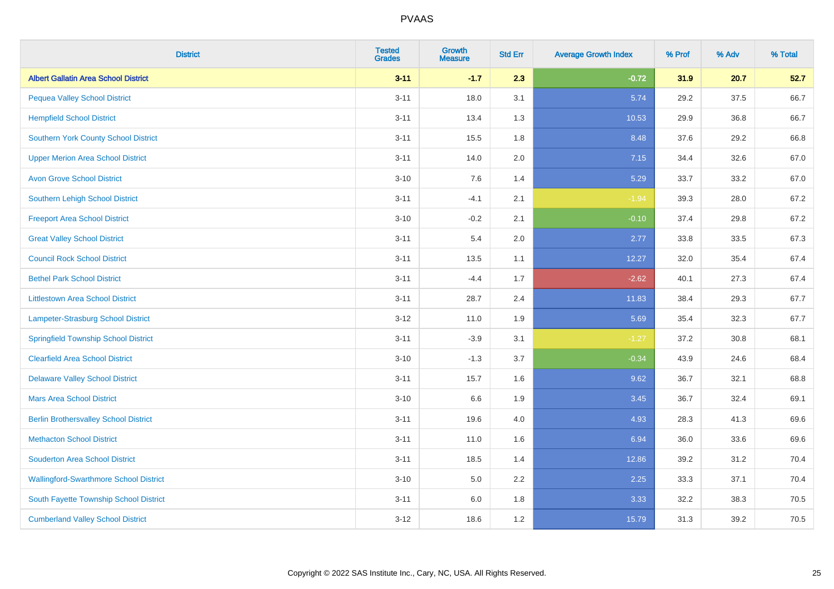| <b>District</b>                               | <b>Tested</b><br><b>Grades</b> | <b>Growth</b><br><b>Measure</b> | <b>Std Err</b> | <b>Average Growth Index</b> | % Prof | % Adv | % Total |
|-----------------------------------------------|--------------------------------|---------------------------------|----------------|-----------------------------|--------|-------|---------|
| <b>Albert Gallatin Area School District</b>   | $3 - 11$                       | $-1.7$                          | 2.3            | $-0.72$                     | 31.9   | 20.7  | 52.7    |
| <b>Pequea Valley School District</b>          | $3 - 11$                       | 18.0                            | 3.1            | 5.74                        | 29.2   | 37.5  | 66.7    |
| <b>Hempfield School District</b>              | $3 - 11$                       | 13.4                            | 1.3            | 10.53                       | 29.9   | 36.8  | 66.7    |
| <b>Southern York County School District</b>   | $3 - 11$                       | 15.5                            | 1.8            | 8.48                        | 37.6   | 29.2  | 66.8    |
| <b>Upper Merion Area School District</b>      | $3 - 11$                       | 14.0                            | 2.0            | 7.15                        | 34.4   | 32.6  | 67.0    |
| <b>Avon Grove School District</b>             | $3 - 10$                       | 7.6                             | 1.4            | 5.29                        | 33.7   | 33.2  | 67.0    |
| Southern Lehigh School District               | $3 - 11$                       | $-4.1$                          | 2.1            | $-1.94$                     | 39.3   | 28.0  | 67.2    |
| <b>Freeport Area School District</b>          | $3 - 10$                       | $-0.2$                          | 2.1            | $-0.10$                     | 37.4   | 29.8  | 67.2    |
| <b>Great Valley School District</b>           | $3 - 11$                       | 5.4                             | 2.0            | 2.77                        | 33.8   | 33.5  | 67.3    |
| <b>Council Rock School District</b>           | $3 - 11$                       | 13.5                            | 1.1            | 12.27                       | 32.0   | 35.4  | 67.4    |
| <b>Bethel Park School District</b>            | $3 - 11$                       | $-4.4$                          | 1.7            | $-2.62$                     | 40.1   | 27.3  | 67.4    |
| <b>Littlestown Area School District</b>       | $3 - 11$                       | 28.7                            | 2.4            | 11.83                       | 38.4   | 29.3  | 67.7    |
| Lampeter-Strasburg School District            | $3 - 12$                       | 11.0                            | 1.9            | 5.69                        | 35.4   | 32.3  | 67.7    |
| <b>Springfield Township School District</b>   | $3 - 11$                       | $-3.9$                          | 3.1            | $-1.27$                     | 37.2   | 30.8  | 68.1    |
| <b>Clearfield Area School District</b>        | $3 - 10$                       | $-1.3$                          | 3.7            | $-0.34$                     | 43.9   | 24.6  | 68.4    |
| <b>Delaware Valley School District</b>        | $3 - 11$                       | 15.7                            | 1.6            | 9.62                        | 36.7   | 32.1  | 68.8    |
| <b>Mars Area School District</b>              | $3 - 10$                       | 6.6                             | 1.9            | 3.45                        | 36.7   | 32.4  | 69.1    |
| <b>Berlin Brothersvalley School District</b>  | $3 - 11$                       | 19.6                            | 4.0            | 4.93                        | 28.3   | 41.3  | 69.6    |
| <b>Methacton School District</b>              | $3 - 11$                       | 11.0                            | 1.6            | 6.94                        | 36.0   | 33.6  | 69.6    |
| <b>Souderton Area School District</b>         | $3 - 11$                       | 18.5                            | 1.4            | 12.86                       | 39.2   | 31.2  | 70.4    |
| <b>Wallingford-Swarthmore School District</b> | $3 - 10$                       | 5.0                             | 2.2            | 2.25                        | 33.3   | 37.1  | 70.4    |
| South Fayette Township School District        | $3 - 11$                       | 6.0                             | 1.8            | 3.33                        | 32.2   | 38.3  | 70.5    |
| <b>Cumberland Valley School District</b>      | $3 - 12$                       | 18.6                            | 1.2            | 15.79                       | 31.3   | 39.2  | 70.5    |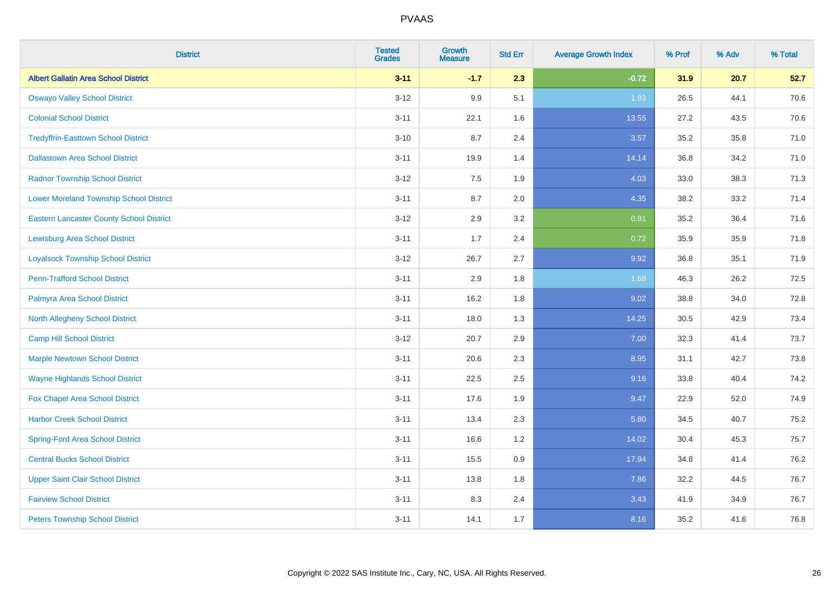| <b>District</b>                                 | <b>Tested</b><br><b>Grades</b> | <b>Growth</b><br><b>Measure</b> | <b>Std Err</b> | <b>Average Growth Index</b> | % Prof | % Adv | % Total |
|-------------------------------------------------|--------------------------------|---------------------------------|----------------|-----------------------------|--------|-------|---------|
| <b>Albert Gallatin Area School District</b>     | $3 - 11$                       | $-1.7$                          | 2.3            | $-0.72$                     | 31.9   | 20.7  | 52.7    |
| <b>Oswayo Valley School District</b>            | $3 - 12$                       | 9.9                             | 5.1            | 1.93                        | 26.5   | 44.1  | 70.6    |
| <b>Colonial School District</b>                 | $3 - 11$                       | 22.1                            | 1.6            | 13.55                       | 27.2   | 43.5  | 70.6    |
| <b>Tredyffrin-Easttown School District</b>      | $3 - 10$                       | 8.7                             | 2.4            | 3.57                        | 35.2   | 35.8  | 71.0    |
| <b>Dallastown Area School District</b>          | $3 - 11$                       | 19.9                            | 1.4            | 14.14                       | 36.8   | 34.2  | 71.0    |
| <b>Radnor Township School District</b>          | $3 - 12$                       | 7.5                             | 1.9            | 4.03                        | 33.0   | 38.3  | 71.3    |
| <b>Lower Moreland Township School District</b>  | $3 - 11$                       | 8.7                             | 2.0            | 4.35                        | 38.2   | 33.2  | 71.4    |
| <b>Eastern Lancaster County School District</b> | $3 - 12$                       | 2.9                             | 3.2            | 0.91                        | 35.2   | 36.4  | 71.6    |
| <b>Lewisburg Area School District</b>           | $3 - 11$                       | 1.7                             | 2.4            | 0.72                        | 35.9   | 35.9  | 71.8    |
| <b>Loyalsock Township School District</b>       | $3-12$                         | 26.7                            | 2.7            | 9.92                        | 36.8   | 35.1  | 71.9    |
| <b>Penn-Trafford School District</b>            | $3 - 11$                       | 2.9                             | 1.8            | 1.68                        | 46.3   | 26.2  | 72.5    |
| Palmyra Area School District                    | $3 - 11$                       | 16.2                            | 1.8            | 9.02                        | 38.8   | 34.0  | 72.8    |
| North Allegheny School District                 | $3 - 11$                       | 18.0                            | 1.3            | 14.25                       | 30.5   | 42.9  | 73.4    |
| <b>Camp Hill School District</b>                | $3 - 12$                       | 20.7                            | 2.9            | 7.00                        | 32.3   | 41.4  | 73.7    |
| <b>Marple Newtown School District</b>           | $3 - 11$                       | 20.6                            | 2.3            | 8.95                        | 31.1   | 42.7  | 73.8    |
| <b>Wayne Highlands School District</b>          | $3 - 11$                       | 22.5                            | 2.5            | 9.16                        | 33.8   | 40.4  | 74.2    |
| Fox Chapel Area School District                 | $3 - 11$                       | 17.6                            | 1.9            | 9.47                        | 22.9   | 52.0  | 74.9    |
| <b>Harbor Creek School District</b>             | $3 - 11$                       | 13.4                            | 2.3            | 5.80                        | 34.5   | 40.7  | 75.2    |
| <b>Spring-Ford Area School District</b>         | $3 - 11$                       | 16.6                            | 1.2            | 14.02                       | 30.4   | 45.3  | 75.7    |
| <b>Central Bucks School District</b>            | $3 - 11$                       | 15.5                            | 0.9            | 17.94                       | 34.8   | 41.4  | 76.2    |
| <b>Upper Saint Clair School District</b>        | $3 - 11$                       | 13.8                            | 1.8            | 7.86                        | 32.2   | 44.5  | 76.7    |
| <b>Fairview School District</b>                 | $3 - 11$                       | 8.3                             | 2.4            | 3.43                        | 41.9   | 34.9  | 76.7    |
| <b>Peters Township School District</b>          | $3 - 11$                       | 14.1                            | 1.7            | 8.16                        | 35.2   | 41.6  | 76.8    |